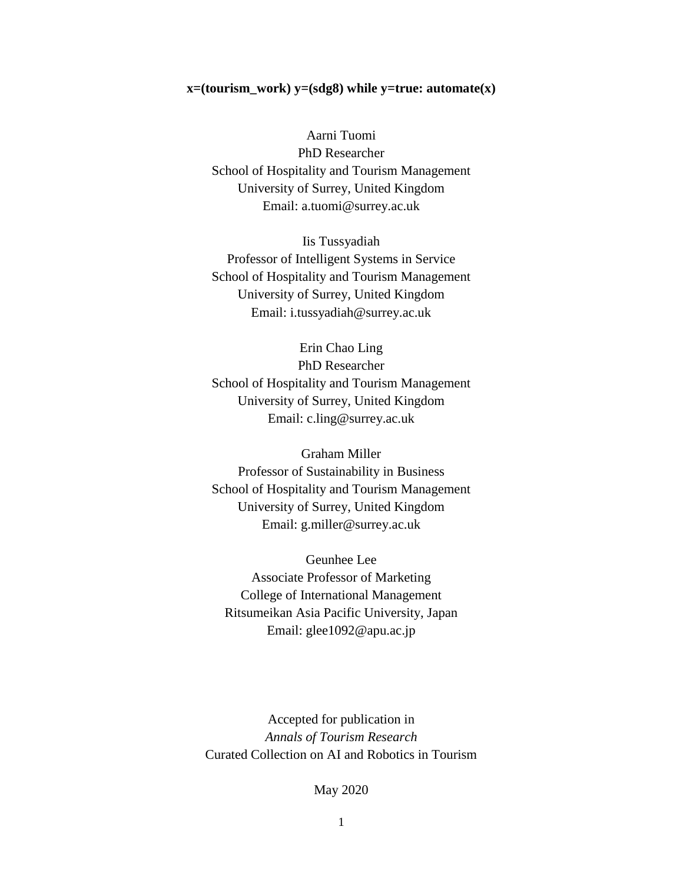### **x=(tourism\_work) y=(sdg8) while y=true: automate(x)**

Aarni Tuomi PhD Researcher School of Hospitality and Tourism Management University of Surrey, United Kingdom Email: a.tuomi@surrey.ac.uk

Iis Tussyadiah Professor of Intelligent Systems in Service School of Hospitality and Tourism Management University of Surrey, United Kingdom Email: i.tussyadiah@surrey.ac.uk

Erin Chao Ling PhD Researcher School of Hospitality and Tourism Management University of Surrey, United Kingdom Email: c.ling@surrey.ac.uk

Graham Miller Professor of Sustainability in Business School of Hospitality and Tourism Management University of Surrey, United Kingdom Email: g.miller@surrey.ac.uk

Geunhee Lee Associate Professor of Marketing College of International Management Ritsumeikan Asia Pacific University, Japan Email: glee1092@apu.ac.jp

Accepted for publication in *Annals of Tourism Research*  Curated Collection on AI and Robotics in Tourism

# May 2020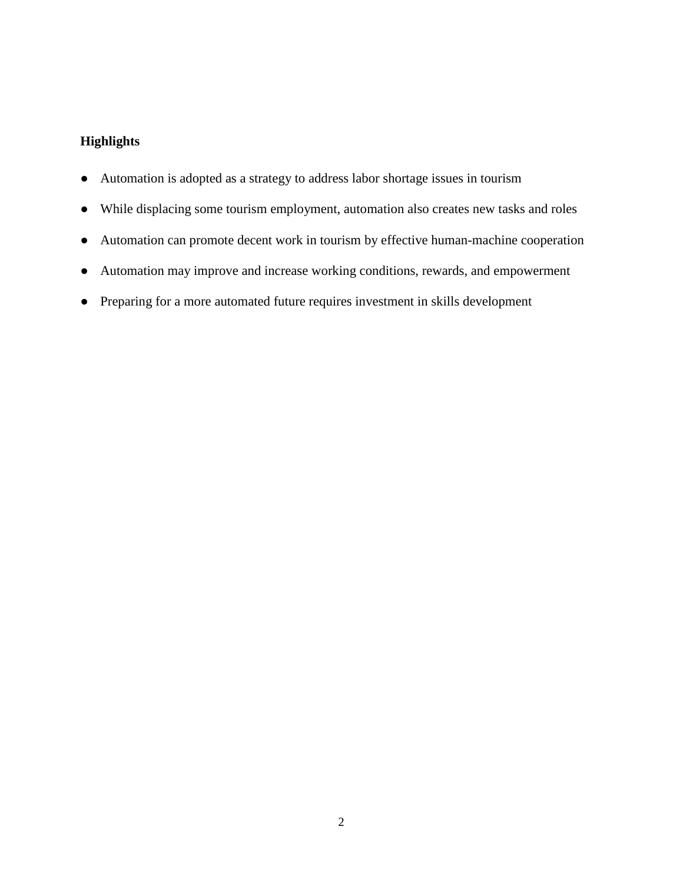# **Highlights**

- Automation is adopted as a strategy to address labor shortage issues in tourism
- While displacing some tourism employment, automation also creates new tasks and roles
- Automation can promote decent work in tourism by effective human-machine cooperation
- Automation may improve and increase working conditions, rewards, and empowerment
- Preparing for a more automated future requires investment in skills development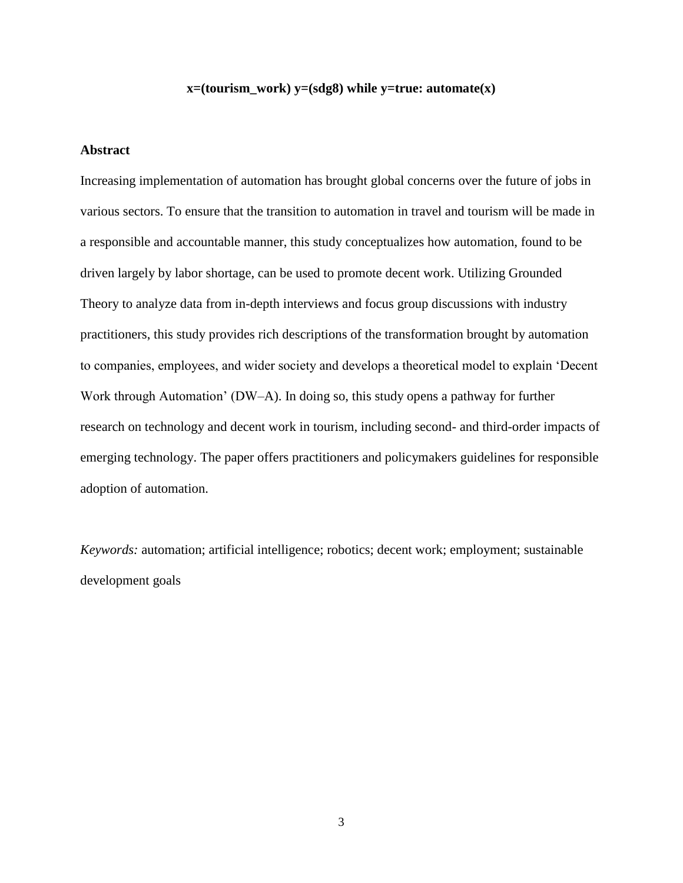# **x=(tourism\_work) y=(sdg8) while y=true: automate(x)**

### **Abstract**

Increasing implementation of automation has brought global concerns over the future of jobs in various sectors. To ensure that the transition to automation in travel and tourism will be made in a responsible and accountable manner, this study conceptualizes how automation, found to be driven largely by labor shortage, can be used to promote decent work. Utilizing Grounded Theory to analyze data from in-depth interviews and focus group discussions with industry practitioners, this study provides rich descriptions of the transformation brought by automation to companies, employees, and wider society and develops a theoretical model to explain 'Decent Work through Automation' (DW–A). In doing so, this study opens a pathway for further research on technology and decent work in tourism, including second- and third-order impacts of emerging technology. The paper offers practitioners and policymakers guidelines for responsible adoption of automation.

*Keywords:* automation; artificial intelligence; robotics; decent work; employment; sustainable development goals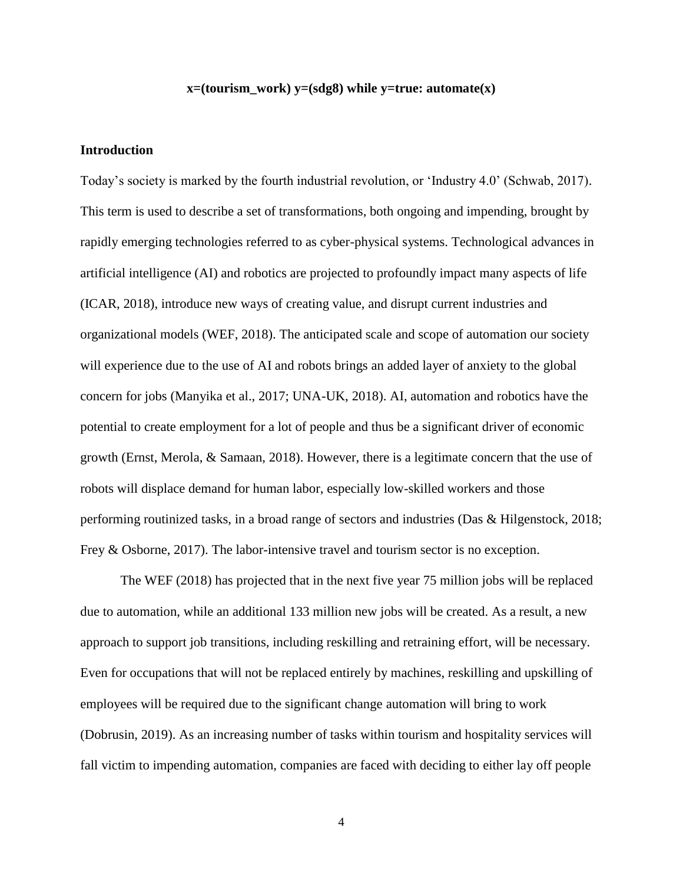# **x=(tourism\_work) y=(sdg8) while y=true: automate(x)**

# **Introduction**

Today's society is marked by the fourth industrial revolution, or 'Industry 4.0' (Schwab, 2017). This term is used to describe a set of transformations, both ongoing and impending, brought by rapidly emerging technologies referred to as cyber-physical systems. Technological advances in artificial intelligence (AI) and robotics are projected to profoundly impact many aspects of life (ICAR, 2018), introduce new ways of creating value, and disrupt current industries and organizational models (WEF, 2018). The anticipated scale and scope of automation our society will experience due to the use of AI and robots brings an added layer of anxiety to the global concern for jobs (Manyika et al., 2017; UNA-UK, 2018). AI, automation and robotics have the potential to create employment for a lot of people and thus be a significant driver of economic growth (Ernst, Merola, & Samaan, 2018). However, there is a legitimate concern that the use of robots will displace demand for human labor, especially low-skilled workers and those performing routinized tasks, in a broad range of sectors and industries (Das & Hilgenstock, 2018; Frey & Osborne, 2017). The labor-intensive travel and tourism sector is no exception.

The WEF (2018) has projected that in the next five year 75 million jobs will be replaced due to automation, while an additional 133 million new jobs will be created. As a result, a new approach to support job transitions, including reskilling and retraining effort, will be necessary. Even for occupations that will not be replaced entirely by machines, reskilling and upskilling of employees will be required due to the significant change automation will bring to work (Dobrusin, 2019). As an increasing number of tasks within tourism and hospitality services will fall victim to impending automation, companies are faced with deciding to either lay off people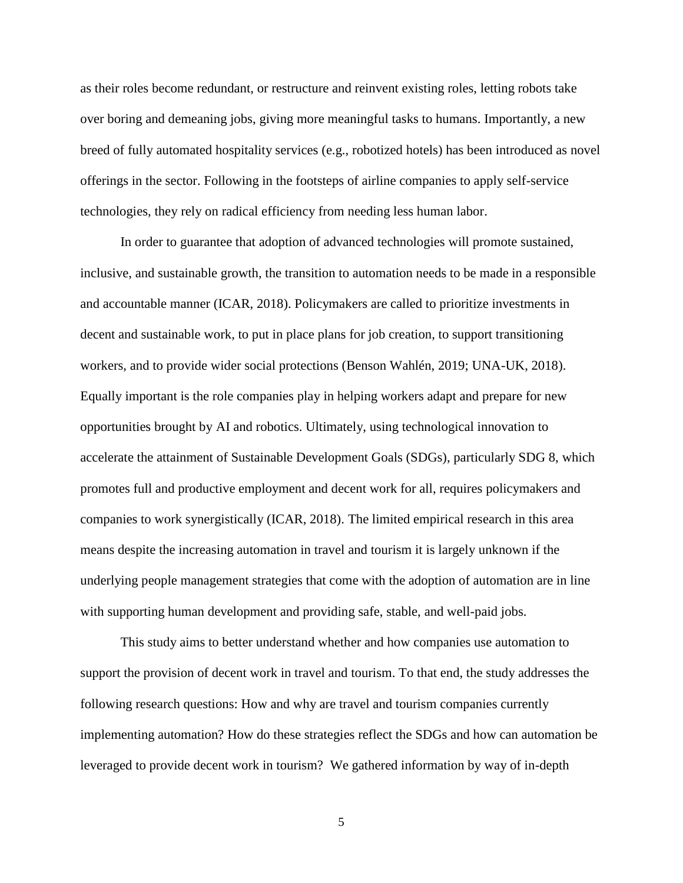as their roles become redundant, or restructure and reinvent existing roles, letting robots take over boring and demeaning jobs, giving more meaningful tasks to humans. Importantly, a new breed of fully automated hospitality services (e.g., robotized hotels) has been introduced as novel offerings in the sector. Following in the footsteps of airline companies to apply self-service technologies, they rely on radical efficiency from needing less human labor.

In order to guarantee that adoption of advanced technologies will promote sustained, inclusive, and sustainable growth, the transition to automation needs to be made in a responsible and accountable manner (ICAR, 2018). Policymakers are called to prioritize investments in decent and sustainable work, to put in place plans for job creation, to support transitioning workers, and to provide wider social protections (Benson Wahlén, 2019; UNA-UK, 2018). Equally important is the role companies play in helping workers adapt and prepare for new opportunities brought by AI and robotics. Ultimately, using technological innovation to accelerate the attainment of Sustainable Development Goals (SDGs), particularly SDG 8, which promotes full and productive employment and decent work for all, requires policymakers and companies to work synergistically (ICAR, 2018). The limited empirical research in this area means despite the increasing automation in travel and tourism it is largely unknown if the underlying people management strategies that come with the adoption of automation are in line with supporting human development and providing safe, stable, and well-paid jobs.

This study aims to better understand whether and how companies use automation to support the provision of decent work in travel and tourism. To that end, the study addresses the following research questions: How and why are travel and tourism companies currently implementing automation? How do these strategies reflect the SDGs and how can automation be leveraged to provide decent work in tourism? We gathered information by way of in-depth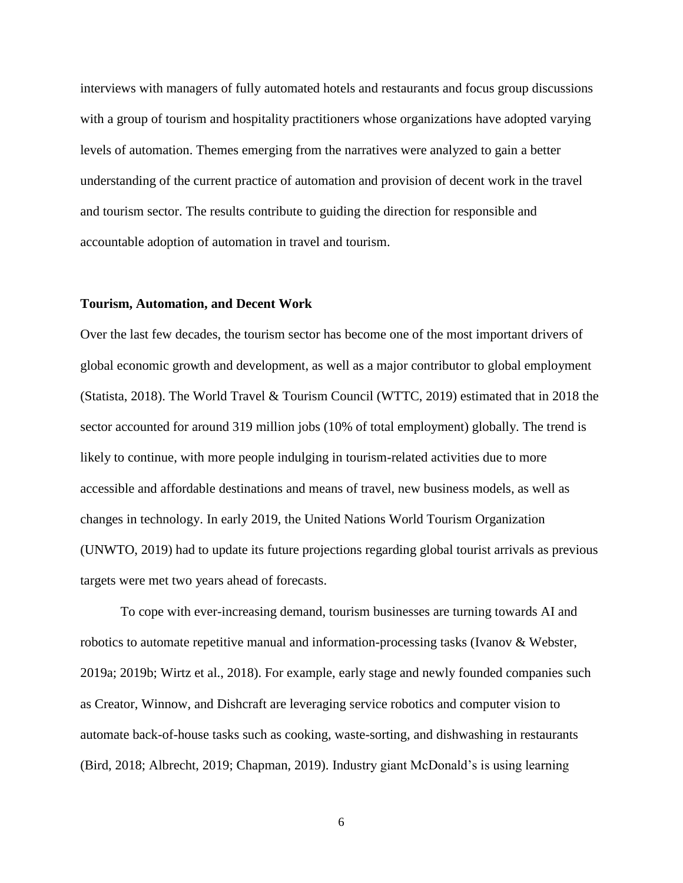interviews with managers of fully automated hotels and restaurants and focus group discussions with a group of tourism and hospitality practitioners whose organizations have adopted varying levels of automation. Themes emerging from the narratives were analyzed to gain a better understanding of the current practice of automation and provision of decent work in the travel and tourism sector. The results contribute to guiding the direction for responsible and accountable adoption of automation in travel and tourism.

### **Tourism, Automation, and Decent Work**

Over the last few decades, the tourism sector has become one of the most important drivers of global economic growth and development, as well as a major contributor to global employment (Statista, 2018). The World Travel & Tourism Council (WTTC, 2019) estimated that in 2018 the sector accounted for around 319 million jobs (10% of total employment) globally. The trend is likely to continue, with more people indulging in tourism-related activities due to more accessible and affordable destinations and means of travel, new business models, as well as changes in technology. In early 2019, the United Nations World Tourism Organization (UNWTO, 2019) had to update its future projections regarding global tourist arrivals as previous targets were met two years ahead of forecasts.

To cope with ever-increasing demand, tourism businesses are turning towards AI and robotics to automate repetitive manual and information-processing tasks (Ivanov & Webster, 2019a; 2019b; Wirtz et al., 2018). For example, early stage and newly founded companies such as Creator, Winnow, and Dishcraft are leveraging service robotics and computer vision to automate back-of-house tasks such as cooking, waste-sorting, and dishwashing in restaurants (Bird, 2018; Albrecht, 2019; Chapman, 2019). Industry giant McDonald's is using learning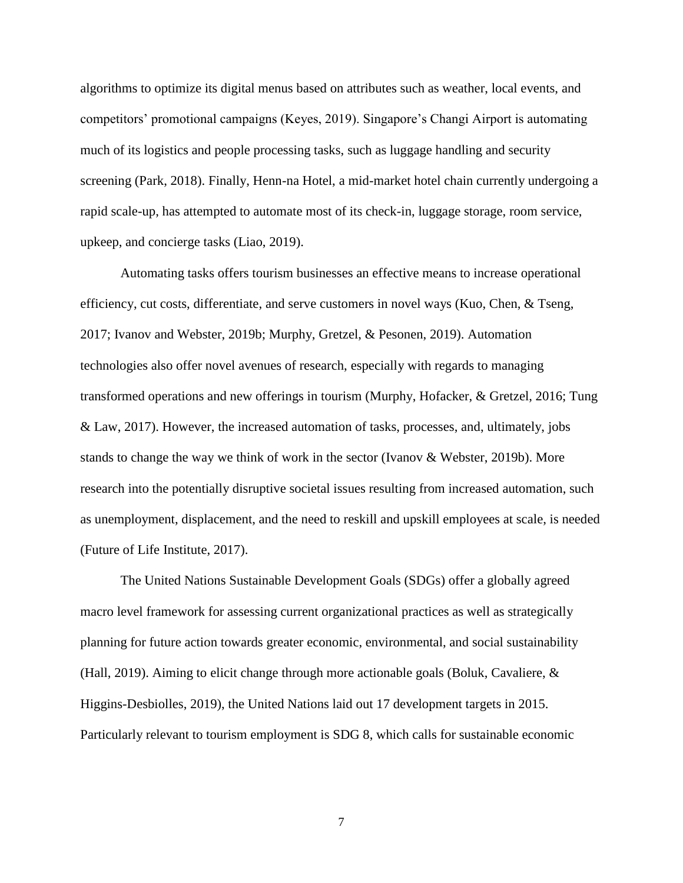algorithms to optimize its digital menus based on attributes such as weather, local events, and competitors' promotional campaigns (Keyes, 2019). Singapore's Changi Airport is automating much of its logistics and people processing tasks, such as luggage handling and security screening (Park, 2018). Finally, Henn-na Hotel, a mid-market hotel chain currently undergoing a rapid scale-up, has attempted to automate most of its check-in, luggage storage, room service, upkeep, and concierge tasks (Liao, 2019).

Automating tasks offers tourism businesses an effective means to increase operational efficiency, cut costs, differentiate, and serve customers in novel ways (Kuo, Chen, & Tseng, 2017; Ivanov and Webster, 2019b; Murphy, Gretzel, & Pesonen, 2019). Automation technologies also offer novel avenues of research, especially with regards to managing transformed operations and new offerings in tourism (Murphy, Hofacker, & Gretzel, 2016; Tung & Law, 2017). However, the increased automation of tasks, processes, and, ultimately, jobs stands to change the way we think of work in the sector (Ivanov & Webster, 2019b). More research into the potentially disruptive societal issues resulting from increased automation, such as unemployment, displacement, and the need to reskill and upskill employees at scale, is needed (Future of Life Institute, 2017).

The United Nations Sustainable Development Goals (SDGs) offer a globally agreed macro level framework for assessing current organizational practices as well as strategically planning for future action towards greater economic, environmental, and social sustainability (Hall, 2019). Aiming to elicit change through more actionable goals (Boluk, Cavaliere, & Higgins-Desbiolles, 2019), the United Nations laid out 17 development targets in 2015. Particularly relevant to tourism employment is SDG 8, which calls for sustainable economic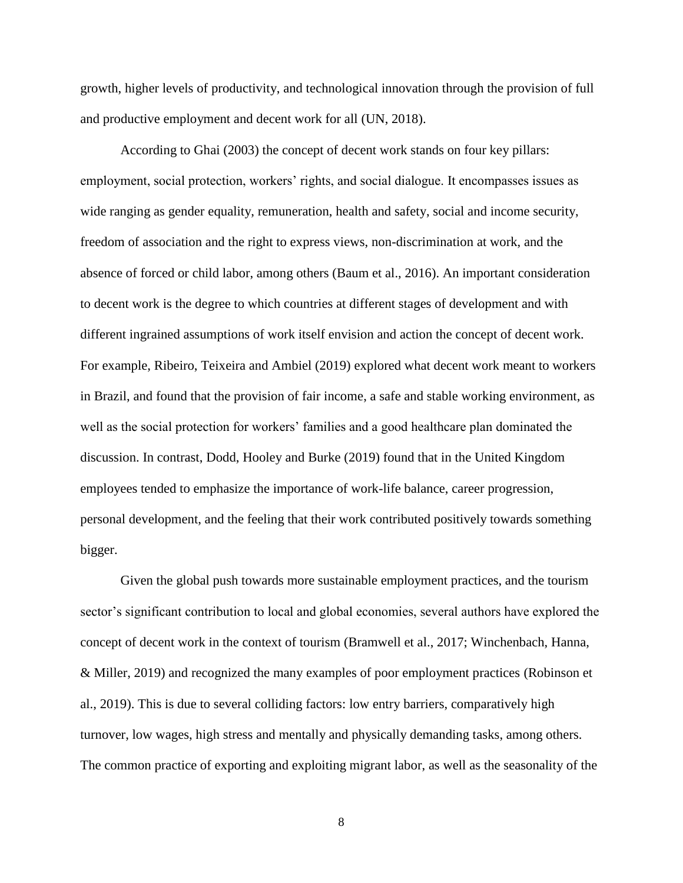growth, higher levels of productivity, and technological innovation through the provision of full and productive employment and decent work for all (UN, 2018).

According to Ghai (2003) the concept of decent work stands on four key pillars: employment, social protection, workers' rights, and social dialogue. It encompasses issues as wide ranging as gender equality, remuneration, health and safety, social and income security, freedom of association and the right to express views, non-discrimination at work, and the absence of forced or child labor, among others (Baum et al., 2016). An important consideration to decent work is the degree to which countries at different stages of development and with different ingrained assumptions of work itself envision and action the concept of decent work. For example, Ribeiro, Teixeira and Ambiel (2019) explored what decent work meant to workers in Brazil, and found that the provision of fair income, a safe and stable working environment, as well as the social protection for workers' families and a good healthcare plan dominated the discussion. In contrast, Dodd, Hooley and Burke (2019) found that in the United Kingdom employees tended to emphasize the importance of work-life balance, career progression, personal development, and the feeling that their work contributed positively towards something bigger.

Given the global push towards more sustainable employment practices, and the tourism sector's significant contribution to local and global economies, several authors have explored the concept of decent work in the context of tourism (Bramwell et al., 2017; Winchenbach, Hanna, & Miller, 2019) and recognized the many examples of poor employment practices (Robinson et al., 2019). This is due to several colliding factors: low entry barriers, comparatively high turnover, low wages, high stress and mentally and physically demanding tasks, among others. The common practice of exporting and exploiting migrant labor, as well as the seasonality of the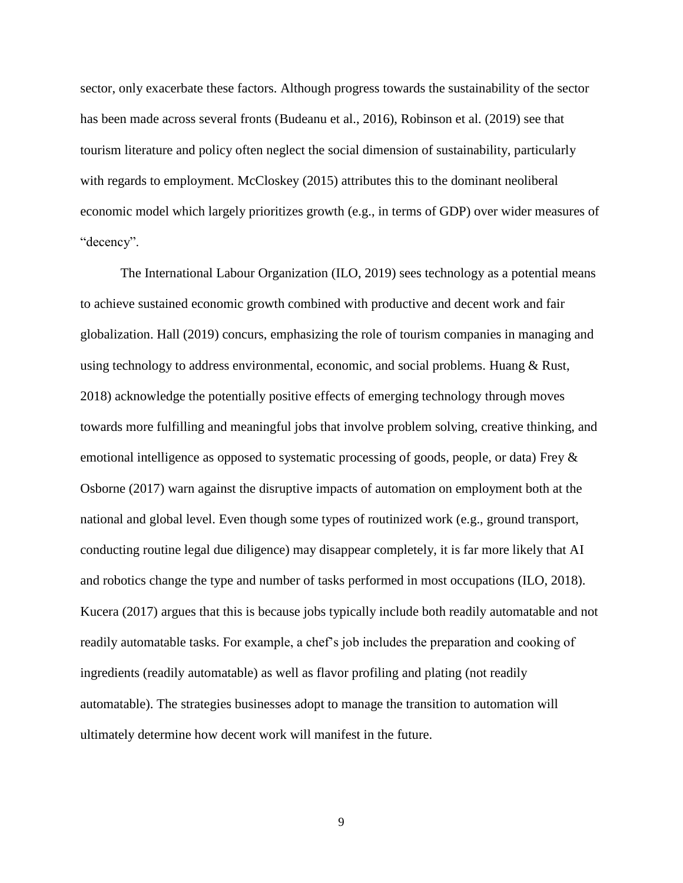sector, only exacerbate these factors. Although progress towards the sustainability of the sector has been made across several fronts (Budeanu et al., 2016), Robinson et al. (2019) see that tourism literature and policy often neglect the social dimension of sustainability, particularly with regards to employment. McCloskey (2015) attributes this to the dominant neoliberal economic model which largely prioritizes growth (e.g., in terms of GDP) over wider measures of "decency".

The International Labour Organization (ILO, 2019) sees technology as a potential means to achieve sustained economic growth combined with productive and decent work and fair globalization. Hall (2019) concurs, emphasizing the role of tourism companies in managing and using technology to address environmental, economic, and social problems. Huang & Rust, 2018) acknowledge the potentially positive effects of emerging technology through moves towards more fulfilling and meaningful jobs that involve problem solving, creative thinking, and emotional intelligence as opposed to systematic processing of goods, people, or data) Frey & Osborne (2017) warn against the disruptive impacts of automation on employment both at the national and global level. Even though some types of routinized work (e.g., ground transport, conducting routine legal due diligence) may disappear completely, it is far more likely that AI and robotics change the type and number of tasks performed in most occupations (ILO, 2018). Kucera (2017) argues that this is because jobs typically include both readily automatable and not readily automatable tasks. For example, a chef's job includes the preparation and cooking of ingredients (readily automatable) as well as flavor profiling and plating (not readily automatable). The strategies businesses adopt to manage the transition to automation will ultimately determine how decent work will manifest in the future.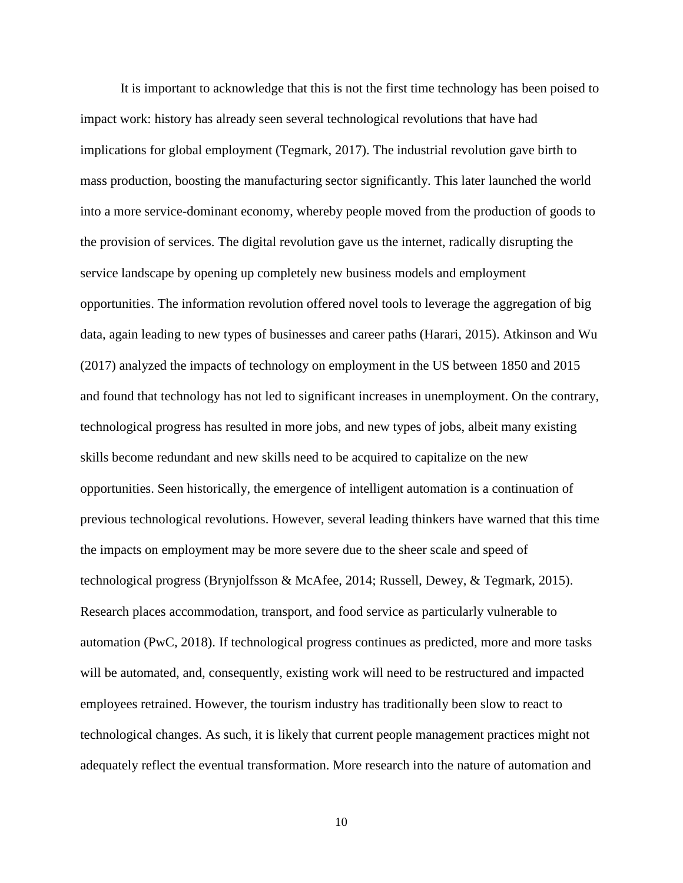It is important to acknowledge that this is not the first time technology has been poised to impact work: history has already seen several technological revolutions that have had implications for global employment (Tegmark, 2017). The industrial revolution gave birth to mass production, boosting the manufacturing sector significantly. This later launched the world into a more service-dominant economy, whereby people moved from the production of goods to the provision of services. The digital revolution gave us the internet, radically disrupting the service landscape by opening up completely new business models and employment opportunities. The information revolution offered novel tools to leverage the aggregation of big data, again leading to new types of businesses and career paths (Harari, 2015). Atkinson and Wu (2017) analyzed the impacts of technology on employment in the US between 1850 and 2015 and found that technology has not led to significant increases in unemployment. On the contrary, technological progress has resulted in more jobs, and new types of jobs, albeit many existing skills become redundant and new skills need to be acquired to capitalize on the new opportunities. Seen historically, the emergence of intelligent automation is a continuation of previous technological revolutions. However, several leading thinkers have warned that this time the impacts on employment may be more severe due to the sheer scale and speed of technological progress (Brynjolfsson & McAfee, 2014; Russell, Dewey, & Tegmark, 2015). Research places accommodation, transport, and food service as particularly vulnerable to automation (PwC, 2018). If technological progress continues as predicted, more and more tasks will be automated, and, consequently, existing work will need to be restructured and impacted employees retrained. However, the tourism industry has traditionally been slow to react to technological changes. As such, it is likely that current people management practices might not adequately reflect the eventual transformation. More research into the nature of automation and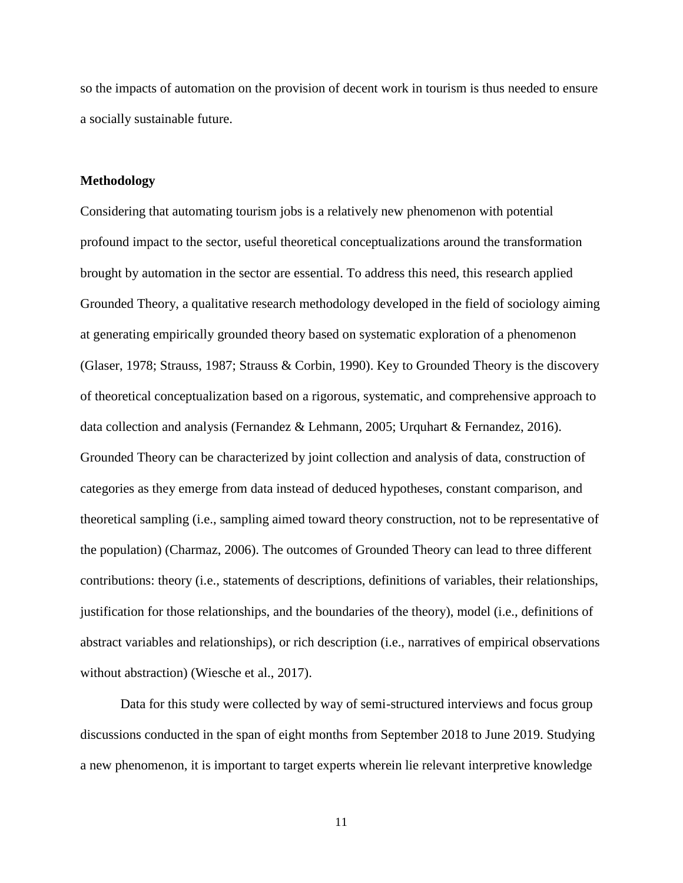so the impacts of automation on the provision of decent work in tourism is thus needed to ensure a socially sustainable future.

### **Methodology**

Considering that automating tourism jobs is a relatively new phenomenon with potential profound impact to the sector, useful theoretical conceptualizations around the transformation brought by automation in the sector are essential. To address this need, this research applied Grounded Theory, a qualitative research methodology developed in the field of sociology aiming at generating empirically grounded theory based on systematic exploration of a phenomenon (Glaser, 1978; Strauss, 1987; Strauss & Corbin, 1990). Key to Grounded Theory is the discovery of theoretical conceptualization based on a rigorous, systematic, and comprehensive approach to data collection and analysis (Fernandez & Lehmann, 2005; Urquhart & Fernandez, 2016). Grounded Theory can be characterized by joint collection and analysis of data, construction of categories as they emerge from data instead of deduced hypotheses, constant comparison, and theoretical sampling (i.e., sampling aimed toward theory construction, not to be representative of the population) (Charmaz, 2006). The outcomes of Grounded Theory can lead to three different contributions: theory (i.e., statements of descriptions, definitions of variables, their relationships, justification for those relationships, and the boundaries of the theory), model (i.e., definitions of abstract variables and relationships), or rich description (i.e., narratives of empirical observations without abstraction) (Wiesche et al., 2017).

Data for this study were collected by way of semi-structured interviews and focus group discussions conducted in the span of eight months from September 2018 to June 2019. Studying a new phenomenon, it is important to target experts wherein lie relevant interpretive knowledge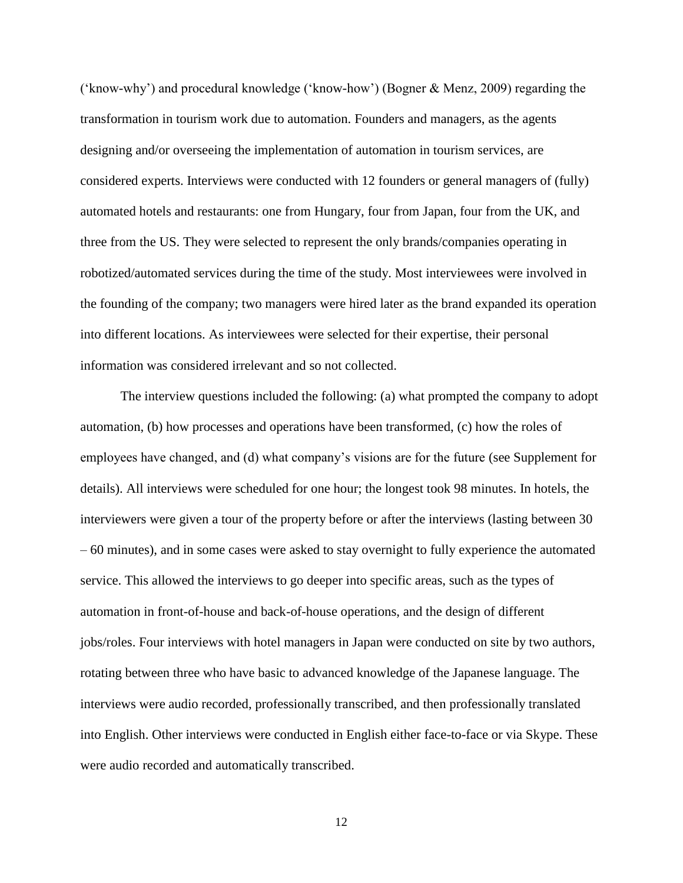('know-why') and procedural knowledge ('know-how') (Bogner & Menz, 2009) regarding the transformation in tourism work due to automation. Founders and managers, as the agents designing and/or overseeing the implementation of automation in tourism services, are considered experts. Interviews were conducted with 12 founders or general managers of (fully) automated hotels and restaurants: one from Hungary, four from Japan, four from the UK, and three from the US. They were selected to represent the only brands/companies operating in robotized/automated services during the time of the study. Most interviewees were involved in the founding of the company; two managers were hired later as the brand expanded its operation into different locations. As interviewees were selected for their expertise, their personal information was considered irrelevant and so not collected.

The interview questions included the following: (a) what prompted the company to adopt automation, (b) how processes and operations have been transformed, (c) how the roles of employees have changed, and (d) what company's visions are for the future (see Supplement for details). All interviews were scheduled for one hour; the longest took 98 minutes. In hotels, the interviewers were given a tour of the property before or after the interviews (lasting between 30 – 60 minutes), and in some cases were asked to stay overnight to fully experience the automated service. This allowed the interviews to go deeper into specific areas, such as the types of automation in front-of-house and back-of-house operations, and the design of different jobs/roles. Four interviews with hotel managers in Japan were conducted on site by two authors, rotating between three who have basic to advanced knowledge of the Japanese language. The interviews were audio recorded, professionally transcribed, and then professionally translated into English. Other interviews were conducted in English either face-to-face or via Skype. These were audio recorded and automatically transcribed.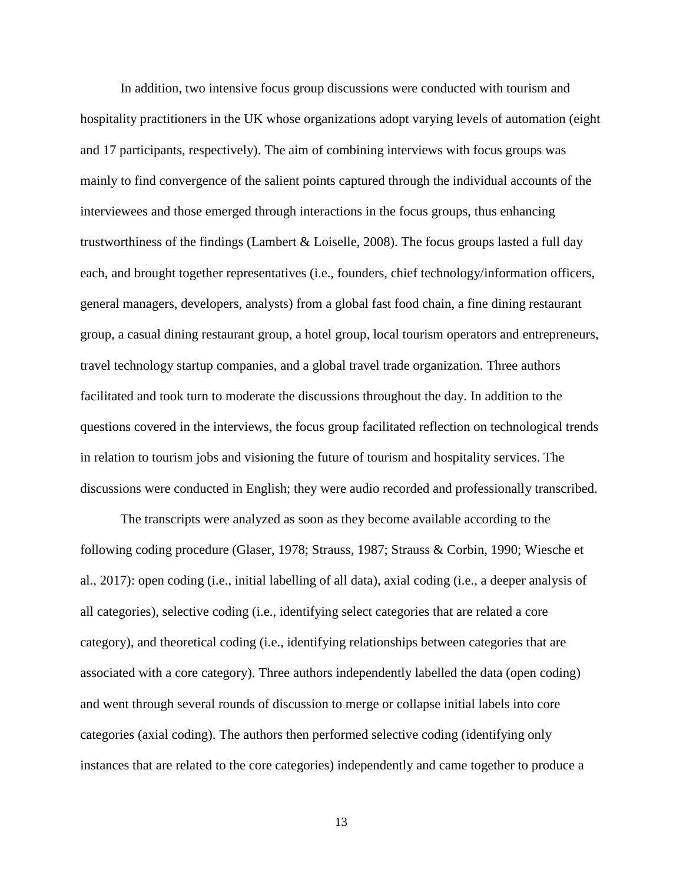In addition, two intensive focus group discussions were conducted with tourism and hospitality practitioners in the UK whose organizations adopt varying levels of automation (eight and 17 participants, respectively). The aim of combining interviews with focus groups was mainly to find convergence of the salient points captured through the individual accounts of the interviewees and those emerged through interactions in the focus groups, thus enhancing trustworthiness of the findings (Lambert & Loiselle, 2008). The focus groups lasted a full day each, and brought together representatives (i.e., founders, chief technology/information officers, general managers, developers, analysts) from a global fast food chain, a fine dining restaurant group, a casual dining restaurant group, a hotel group, local tourism operators and entrepreneurs, travel technology startup companies, and a global travel trade organization. Three authors facilitated and took turn to moderate the discussions throughout the day. In addition to the questions covered in the interviews, the focus group facilitated reflection on technological trends in relation to tourism jobs and visioning the future of tourism and hospitality services. The discussions were conducted in English; they were audio recorded and professionally transcribed.

The transcripts were analyzed as soon as they become available according to the following coding procedure (Glaser, 1978; Strauss, 1987; Strauss & Corbin, 1990; Wiesche et al., 2017): open coding (i.e., initial labelling of all data), axial coding (i.e., a deeper analysis of all categories), selective coding (i.e., identifying select categories that are related a core category), and theoretical coding (i.e., identifying relationships between categories that are associated with a core category). Three authors independently labelled the data (open coding) and went through several rounds of discussion to merge or collapse initial labels into core categories (axial coding). The authors then performed selective coding (identifying only instances that are related to the core categories) independently and came together to produce a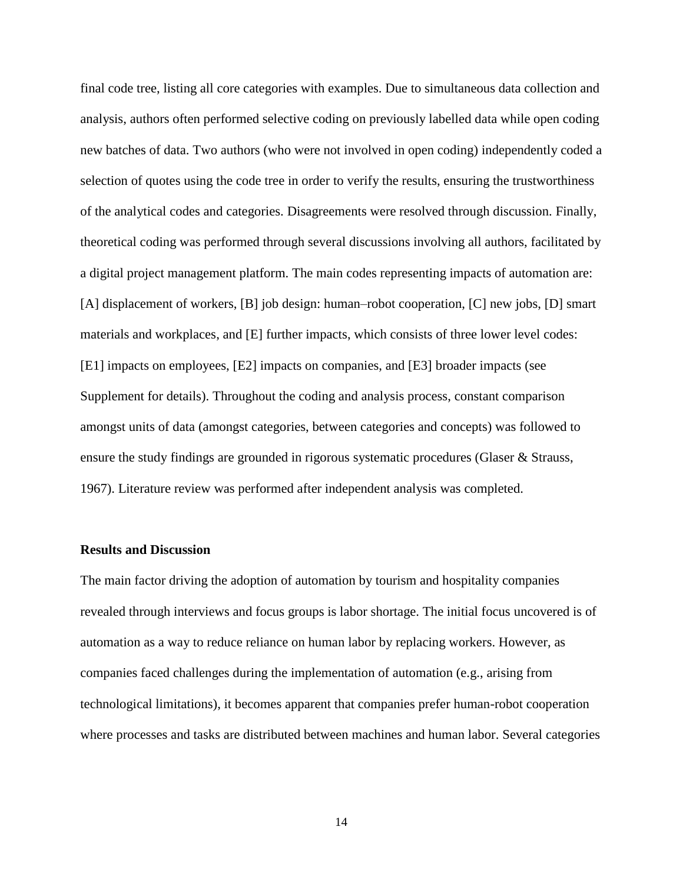final code tree, listing all core categories with examples. Due to simultaneous data collection and analysis, authors often performed selective coding on previously labelled data while open coding new batches of data. Two authors (who were not involved in open coding) independently coded a selection of quotes using the code tree in order to verify the results, ensuring the trustworthiness of the analytical codes and categories. Disagreements were resolved through discussion. Finally, theoretical coding was performed through several discussions involving all authors, facilitated by a digital project management platform. The main codes representing impacts of automation are: [A] displacement of workers, [B] job design: human–robot cooperation, [C] new jobs, [D] smart materials and workplaces, and [E] further impacts, which consists of three lower level codes: [E1] impacts on employees, [E2] impacts on companies, and [E3] broader impacts (see Supplement for details). Throughout the coding and analysis process, constant comparison amongst units of data (amongst categories, between categories and concepts) was followed to ensure the study findings are grounded in rigorous systematic procedures (Glaser & Strauss, 1967). Literature review was performed after independent analysis was completed.

### **Results and Discussion**

The main factor driving the adoption of automation by tourism and hospitality companies revealed through interviews and focus groups is labor shortage. The initial focus uncovered is of automation as a way to reduce reliance on human labor by replacing workers. However, as companies faced challenges during the implementation of automation (e.g., arising from technological limitations), it becomes apparent that companies prefer human-robot cooperation where processes and tasks are distributed between machines and human labor. Several categories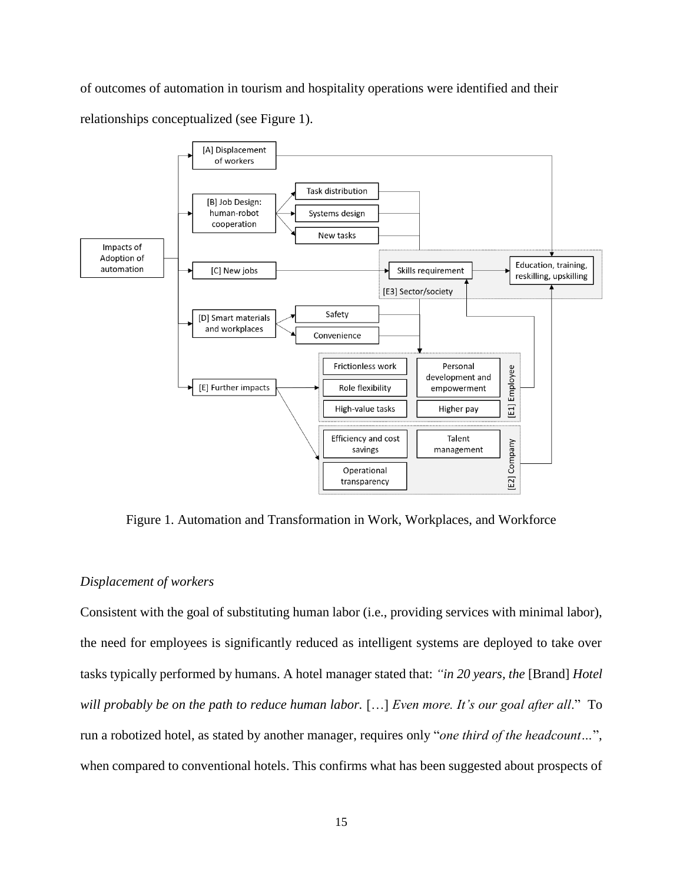of outcomes of automation in tourism and hospitality operations were identified and their relationships conceptualized (see Figure 1).



Figure 1. Automation and Transformation in Work, Workplaces, and Workforce

# *Displacement of workers*

Consistent with the goal of substituting human labor (i.e., providing services with minimal labor), the need for employees is significantly reduced as intelligent systems are deployed to take over tasks typically performed by humans. A hotel manager stated that: *"in 20 years, the* [Brand] *Hotel will probably be on the path to reduce human labor.* […] *Even more. It's our goal after all*." To run a robotized hotel, as stated by another manager, requires only "*one third of the headcount…*", when compared to conventional hotels. This confirms what has been suggested about prospects of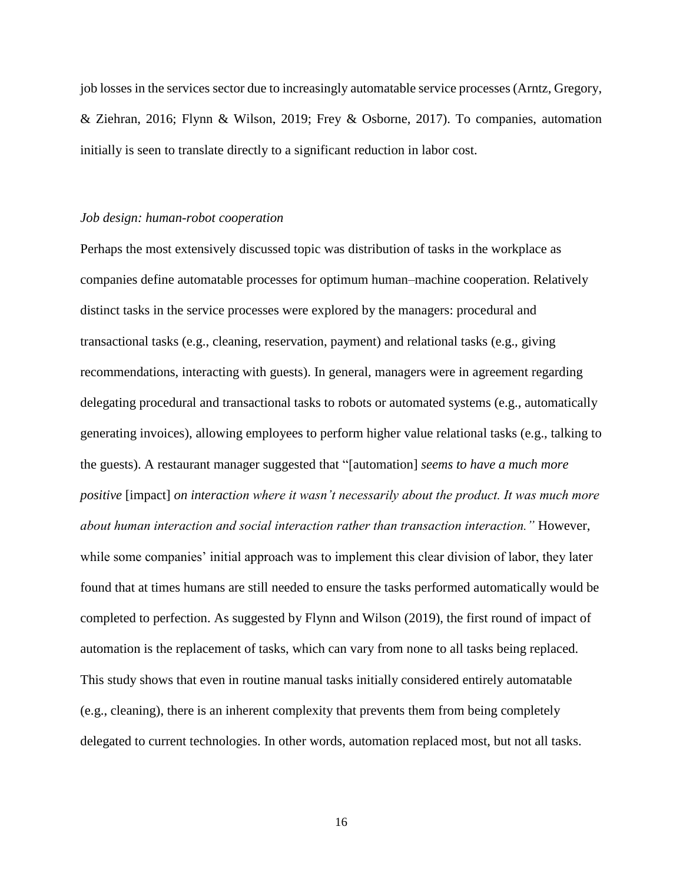job losses in the services sector due to increasingly automatable service processes (Arntz, Gregory, & Ziehran, 2016; Flynn & Wilson, 2019; Frey & Osborne, 2017). To companies, automation initially is seen to translate directly to a significant reduction in labor cost.

### *Job design: human-robot cooperation*

Perhaps the most extensively discussed topic was distribution of tasks in the workplace as companies define automatable processes for optimum human–machine cooperation. Relatively distinct tasks in the service processes were explored by the managers: procedural and transactional tasks (e.g., cleaning, reservation, payment) and relational tasks (e.g., giving recommendations, interacting with guests). In general, managers were in agreement regarding delegating procedural and transactional tasks to robots or automated systems (e.g., automatically generating invoices), allowing employees to perform higher value relational tasks (e.g., talking to the guests). A restaurant manager suggested that "[automation] *seems to have a much more positive* [impact] *on interaction where it wasn't necessarily about the product. It was much more about human interaction and social interaction rather than transaction interaction."* However, while some companies' initial approach was to implement this clear division of labor, they later found that at times humans are still needed to ensure the tasks performed automatically would be completed to perfection. As suggested by Flynn and Wilson (2019), the first round of impact of automation is the replacement of tasks, which can vary from none to all tasks being replaced. This study shows that even in routine manual tasks initially considered entirely automatable (e.g., cleaning), there is an inherent complexity that prevents them from being completely delegated to current technologies. In other words, automation replaced most, but not all tasks.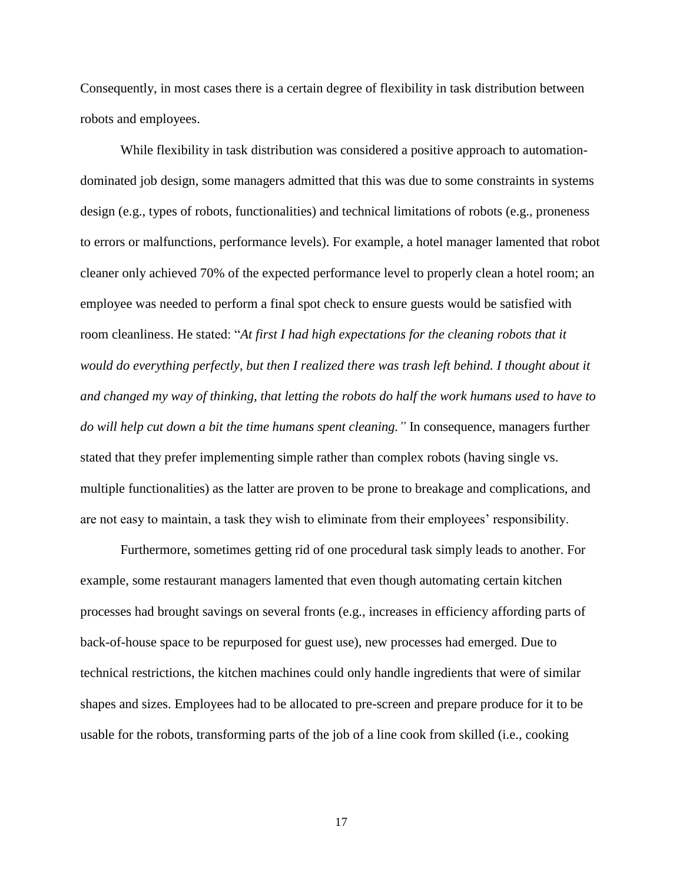Consequently, in most cases there is a certain degree of flexibility in task distribution between robots and employees.

While flexibility in task distribution was considered a positive approach to automationdominated job design, some managers admitted that this was due to some constraints in systems design (e.g., types of robots, functionalities) and technical limitations of robots (e.g., proneness to errors or malfunctions, performance levels). For example, a hotel manager lamented that robot cleaner only achieved 70% of the expected performance level to properly clean a hotel room; an employee was needed to perform a final spot check to ensure guests would be satisfied with room cleanliness. He stated: "*At first I had high expectations for the cleaning robots that it would do everything perfectly, but then I realized there was trash left behind. I thought about it and changed my way of thinking, that letting the robots do half the work humans used to have to do will help cut down a bit the time humans spent cleaning."* In consequence, managers further stated that they prefer implementing simple rather than complex robots (having single vs. multiple functionalities) as the latter are proven to be prone to breakage and complications, and are not easy to maintain, a task they wish to eliminate from their employees' responsibility.

Furthermore, sometimes getting rid of one procedural task simply leads to another. For example, some restaurant managers lamented that even though automating certain kitchen processes had brought savings on several fronts (e.g., increases in efficiency affording parts of back-of-house space to be repurposed for guest use), new processes had emerged. Due to technical restrictions, the kitchen machines could only handle ingredients that were of similar shapes and sizes. Employees had to be allocated to pre-screen and prepare produce for it to be usable for the robots, transforming parts of the job of a line cook from skilled (i.e., cooking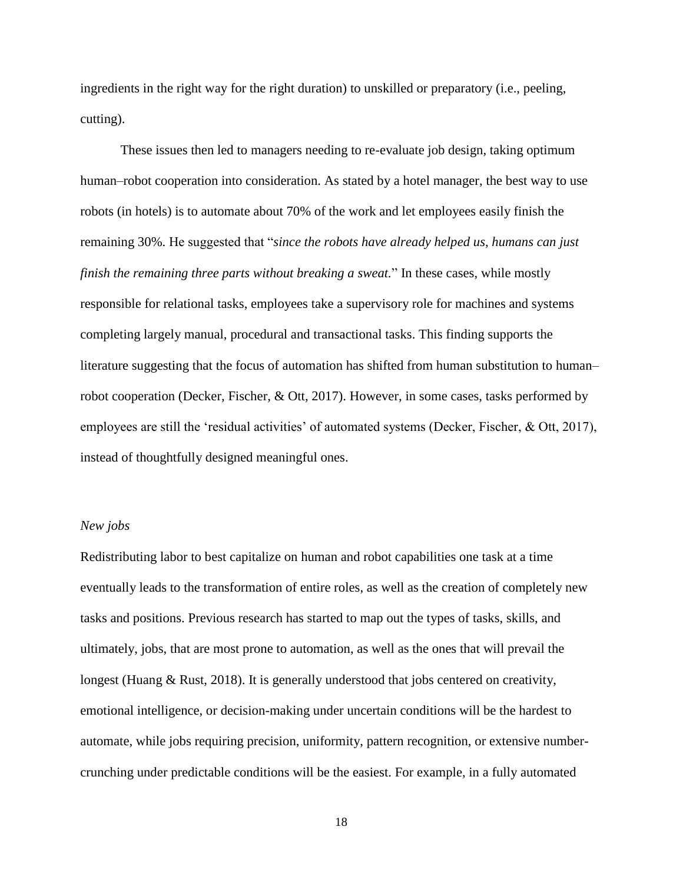ingredients in the right way for the right duration) to unskilled or preparatory (i.e., peeling, cutting).

These issues then led to managers needing to re-evaluate job design, taking optimum human–robot cooperation into consideration. As stated by a hotel manager, the best way to use robots (in hotels) is to automate about 70% of the work and let employees easily finish the remaining 30%. He suggested that "*since the robots have already helped us, humans can just finish the remaining three parts without breaking a sweat.*" In these cases, while mostly responsible for relational tasks, employees take a supervisory role for machines and systems completing largely manual, procedural and transactional tasks. This finding supports the literature suggesting that the focus of automation has shifted from human substitution to human– robot cooperation (Decker, Fischer, & Ott, 2017). However, in some cases, tasks performed by employees are still the 'residual activities' of automated systems (Decker, Fischer, & Ott, 2017), instead of thoughtfully designed meaningful ones.

#### *New jobs*

Redistributing labor to best capitalize on human and robot capabilities one task at a time eventually leads to the transformation of entire roles, as well as the creation of completely new tasks and positions. Previous research has started to map out the types of tasks, skills, and ultimately, jobs, that are most prone to automation, as well as the ones that will prevail the longest (Huang & Rust, 2018). It is generally understood that jobs centered on creativity, emotional intelligence, or decision-making under uncertain conditions will be the hardest to automate, while jobs requiring precision, uniformity, pattern recognition, or extensive numbercrunching under predictable conditions will be the easiest. For example, in a fully automated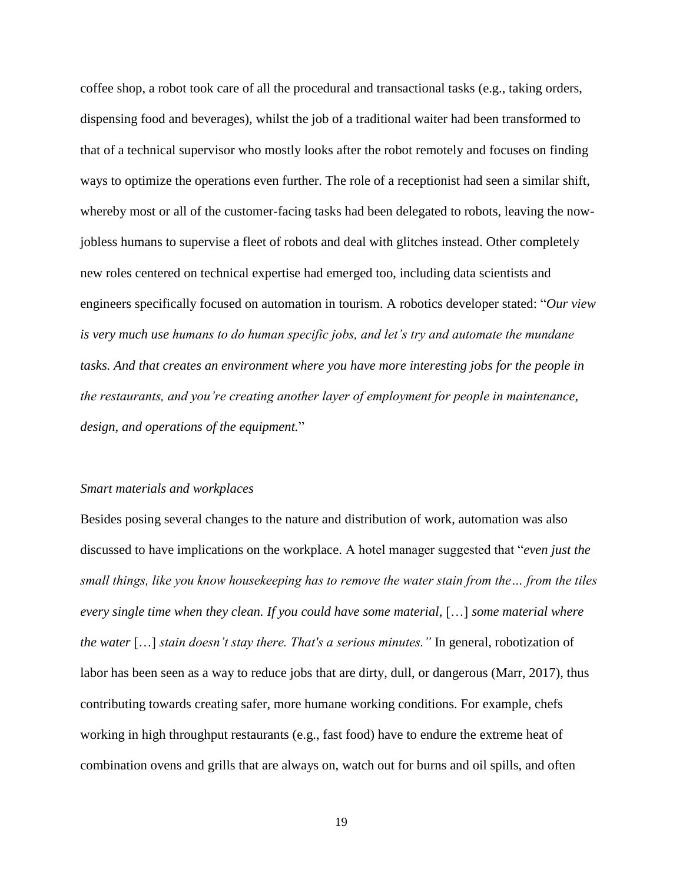coffee shop, a robot took care of all the procedural and transactional tasks (e.g., taking orders, dispensing food and beverages), whilst the job of a traditional waiter had been transformed to that of a technical supervisor who mostly looks after the robot remotely and focuses on finding ways to optimize the operations even further. The role of a receptionist had seen a similar shift, whereby most or all of the customer-facing tasks had been delegated to robots, leaving the nowjobless humans to supervise a fleet of robots and deal with glitches instead. Other completely new roles centered on technical expertise had emerged too, including data scientists and engineers specifically focused on automation in tourism. A robotics developer stated: "*Our view is very much use humans to do human specific jobs, and let's try and automate the mundane tasks. And that creates an environment where you have more interesting jobs for the people in the restaurants, and you're creating another layer of employment for people in maintenance, design, and operations of the equipment.*"

### *Smart materials and workplaces*

Besides posing several changes to the nature and distribution of work, automation was also discussed to have implications on the workplace. A hotel manager suggested that "*even just the small things, like you know housekeeping has to remove the water stain from the… from the tiles every single time when they clean. If you could have some material,* […] *some material where the water* […] *stain doesn't stay there. That's a serious minutes."* In general, robotization of labor has been seen as a way to reduce jobs that are dirty, dull, or dangerous (Marr, 2017), thus contributing towards creating safer, more humane working conditions. For example, chefs working in high throughput restaurants (e.g., fast food) have to endure the extreme heat of combination ovens and grills that are always on, watch out for burns and oil spills, and often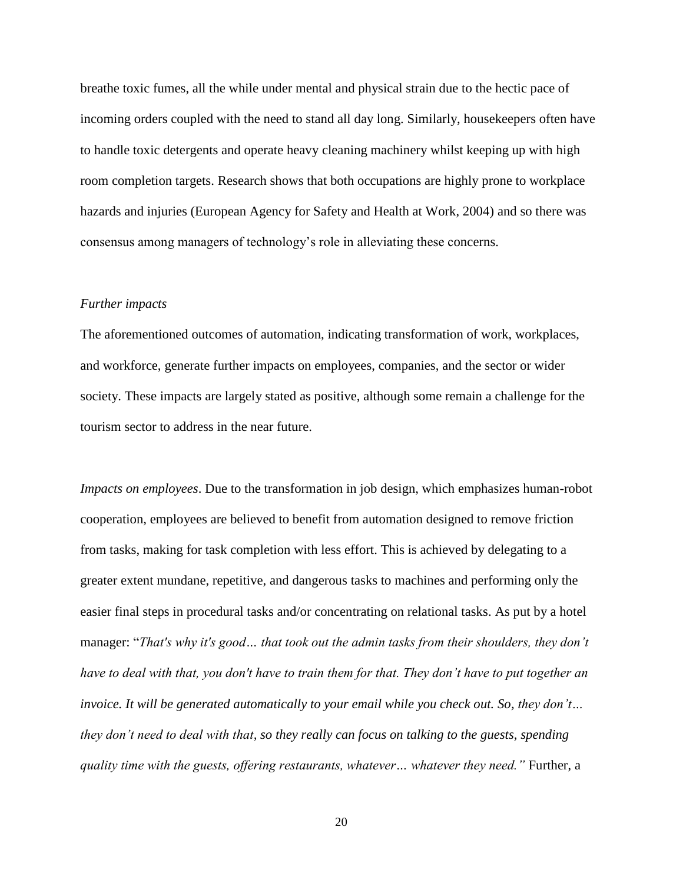breathe toxic fumes, all the while under mental and physical strain due to the hectic pace of incoming orders coupled with the need to stand all day long. Similarly, housekeepers often have to handle toxic detergents and operate heavy cleaning machinery whilst keeping up with high room completion targets. Research shows that both occupations are highly prone to workplace hazards and injuries (European Agency for Safety and Health at Work, 2004) and so there was consensus among managers of technology's role in alleviating these concerns.

### *Further impacts*

The aforementioned outcomes of automation, indicating transformation of work, workplaces, and workforce, generate further impacts on employees, companies, and the sector or wider society. These impacts are largely stated as positive, although some remain a challenge for the tourism sector to address in the near future.

*Impacts on employees*. Due to the transformation in job design, which emphasizes human-robot cooperation, employees are believed to benefit from automation designed to remove friction from tasks, making for task completion with less effort. This is achieved by delegating to a greater extent mundane, repetitive, and dangerous tasks to machines and performing only the easier final steps in procedural tasks and/or concentrating on relational tasks. As put by a hotel manager: "*That's why it's good… that took out the admin tasks from their shoulders, they don't have to deal with that, you don't have to train them for that. They don't have to put together an invoice. It will be generated automatically to your email while you check out. So, they don't… they don't need to deal with that, so they really can focus on talking to the guests, spending quality time with the guests, offering restaurants, whatever… whatever they need."* Further, a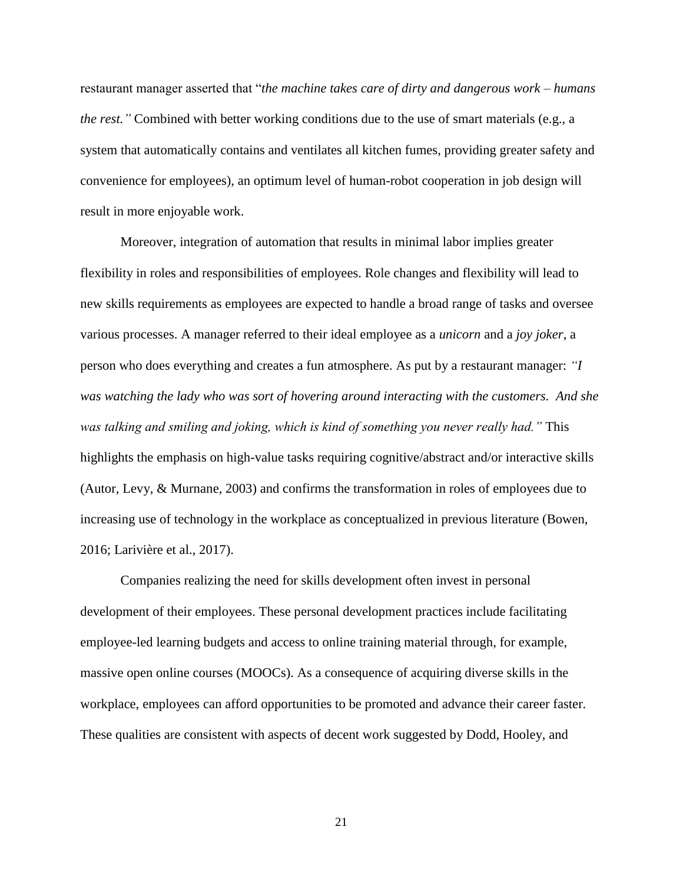restaurant manager asserted that "*the machine takes care of dirty and dangerous work – humans the rest."* Combined with better working conditions due to the use of smart materials (e.g., a system that automatically contains and ventilates all kitchen fumes, providing greater safety and convenience for employees), an optimum level of human-robot cooperation in job design will result in more enjoyable work.

Moreover, integration of automation that results in minimal labor implies greater flexibility in roles and responsibilities of employees. Role changes and flexibility will lead to new skills requirements as employees are expected to handle a broad range of tasks and oversee various processes. A manager referred to their ideal employee as a *unicorn* and a *joy joker*, a person who does everything and creates a fun atmosphere. As put by a restaurant manager: *"I was watching the lady who was sort of hovering around interacting with the customers. And she was talking and smiling and joking, which is kind of something you never really had."* This highlights the emphasis on high-value tasks requiring cognitive/abstract and/or interactive skills (Autor, Levy, & Murnane, 2003) and confirms the transformation in roles of employees due to increasing use of technology in the workplace as conceptualized in previous literature (Bowen, 2016; Larivière et al., 2017).

Companies realizing the need for skills development often invest in personal development of their employees. These personal development practices include facilitating employee-led learning budgets and access to online training material through, for example, massive open online courses (MOOCs). As a consequence of acquiring diverse skills in the workplace, employees can afford opportunities to be promoted and advance their career faster. These qualities are consistent with aspects of decent work suggested by Dodd, Hooley, and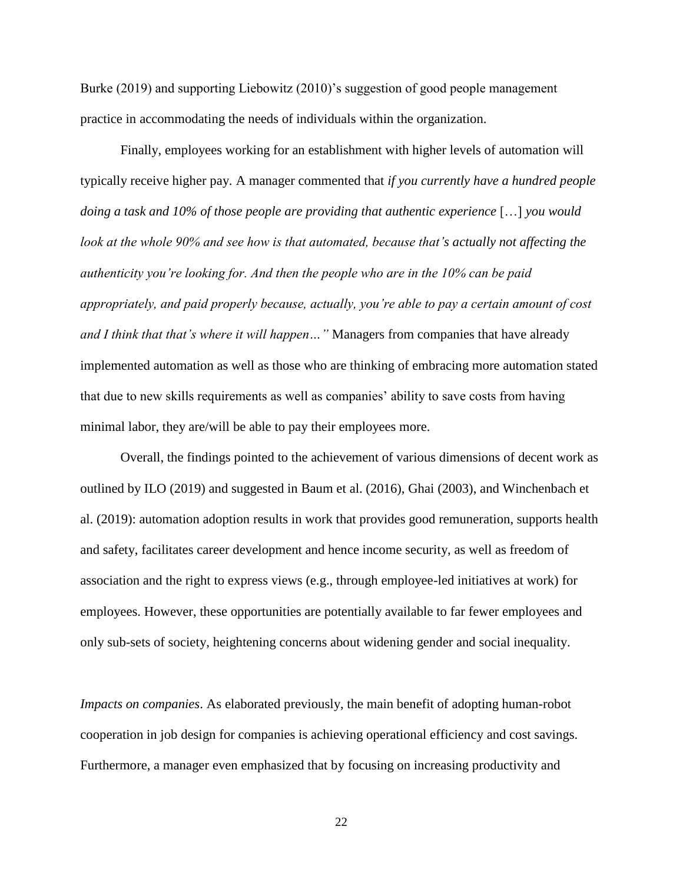Burke (2019) and supporting Liebowitz (2010)'s suggestion of good people management practice in accommodating the needs of individuals within the organization.

Finally, employees working for an establishment with higher levels of automation will typically receive higher pay. A manager commented that *if you currently have a hundred people doing a task and 10% of those people are providing that authentic experience* […] *you would look at the whole 90% and see how is that automated, because that's actually not affecting the authenticity you're looking for. And then the people who are in the 10% can be paid appropriately, and paid properly because, actually, you're able to pay a certain amount of cost and I think that that's where it will happen…"* Managers from companies that have already implemented automation as well as those who are thinking of embracing more automation stated that due to new skills requirements as well as companies' ability to save costs from having minimal labor, they are/will be able to pay their employees more.

Overall, the findings pointed to the achievement of various dimensions of decent work as outlined by ILO (2019) and suggested in Baum et al. (2016), Ghai (2003), and Winchenbach et al. (2019): automation adoption results in work that provides good remuneration, supports health and safety, facilitates career development and hence income security, as well as freedom of association and the right to express views (e.g., through employee-led initiatives at work) for employees. However, these opportunities are potentially available to far fewer employees and only sub-sets of society, heightening concerns about widening gender and social inequality.

*Impacts on companies*. As elaborated previously, the main benefit of adopting human-robot cooperation in job design for companies is achieving operational efficiency and cost savings. Furthermore, a manager even emphasized that by focusing on increasing productivity and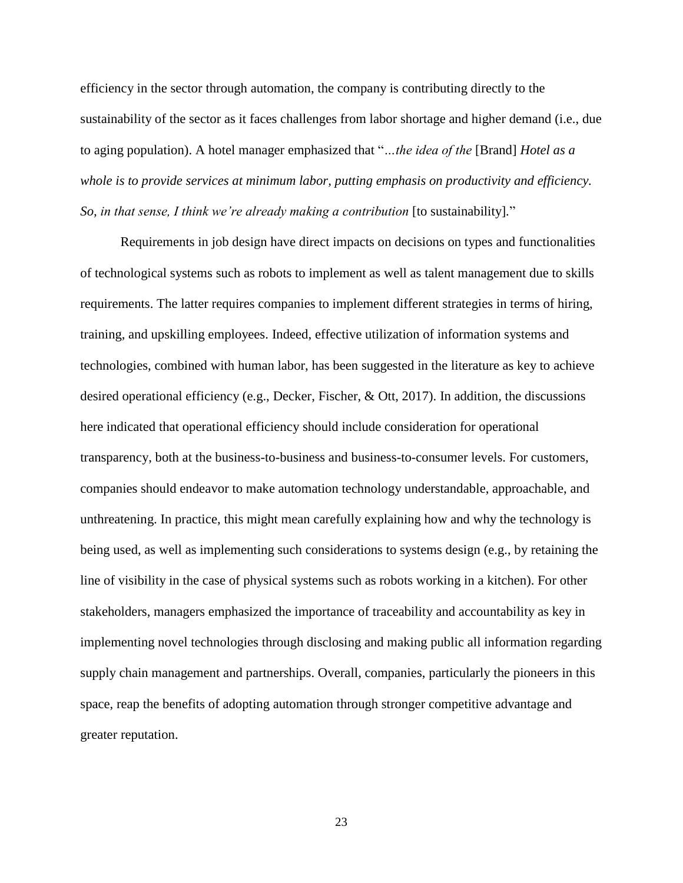efficiency in the sector through automation, the company is contributing directly to the sustainability of the sector as it faces challenges from labor shortage and higher demand (i.e., due to aging population). A hotel manager emphasized that "*…the idea of the* [Brand] *Hotel as a whole is to provide services at minimum labor, putting emphasis on productivity and efficiency. So, in that sense, I think we're already making a contribution* [to sustainability]*.*"

Requirements in job design have direct impacts on decisions on types and functionalities of technological systems such as robots to implement as well as talent management due to skills requirements. The latter requires companies to implement different strategies in terms of hiring, training, and upskilling employees. Indeed, effective utilization of information systems and technologies, combined with human labor, has been suggested in the literature as key to achieve desired operational efficiency (e.g., Decker, Fischer, & Ott, 2017). In addition, the discussions here indicated that operational efficiency should include consideration for operational transparency, both at the business-to-business and business-to-consumer levels. For customers, companies should endeavor to make automation technology understandable, approachable, and unthreatening. In practice, this might mean carefully explaining how and why the technology is being used, as well as implementing such considerations to systems design (e.g., by retaining the line of visibility in the case of physical systems such as robots working in a kitchen). For other stakeholders, managers emphasized the importance of traceability and accountability as key in implementing novel technologies through disclosing and making public all information regarding supply chain management and partnerships. Overall, companies, particularly the pioneers in this space, reap the benefits of adopting automation through stronger competitive advantage and greater reputation.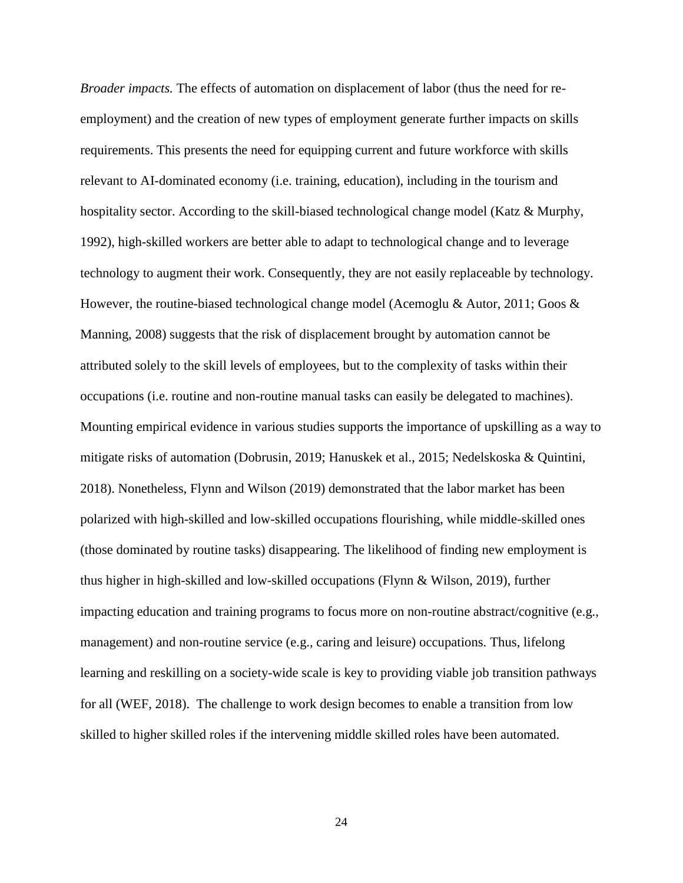*Broader impacts.* The effects of automation on displacement of labor (thus the need for reemployment) and the creation of new types of employment generate further impacts on skills requirements. This presents the need for equipping current and future workforce with skills relevant to AI-dominated economy (i.e. training, education), including in the tourism and hospitality sector. According to the skill-biased technological change model (Katz & Murphy, 1992), high-skilled workers are better able to adapt to technological change and to leverage technology to augment their work. Consequently, they are not easily replaceable by technology. However, the routine-biased technological change model (Acemoglu & Autor, 2011; Goos & Manning, 2008) suggests that the risk of displacement brought by automation cannot be attributed solely to the skill levels of employees, but to the complexity of tasks within their occupations (i.e. routine and non-routine manual tasks can easily be delegated to machines). Mounting empirical evidence in various studies supports the importance of upskilling as a way to mitigate risks of automation (Dobrusin, 2019; Hanuskek et al., 2015; Nedelskoska & Quintini, 2018). Nonetheless, Flynn and Wilson (2019) demonstrated that the labor market has been polarized with high-skilled and low-skilled occupations flourishing, while middle-skilled ones (those dominated by routine tasks) disappearing. The likelihood of finding new employment is thus higher in high-skilled and low-skilled occupations (Flynn & Wilson, 2019), further impacting education and training programs to focus more on non-routine abstract/cognitive (e.g., management) and non-routine service (e.g., caring and leisure) occupations. Thus, lifelong learning and reskilling on a society-wide scale is key to providing viable job transition pathways for all (WEF, 2018). The challenge to work design becomes to enable a transition from low skilled to higher skilled roles if the intervening middle skilled roles have been automated.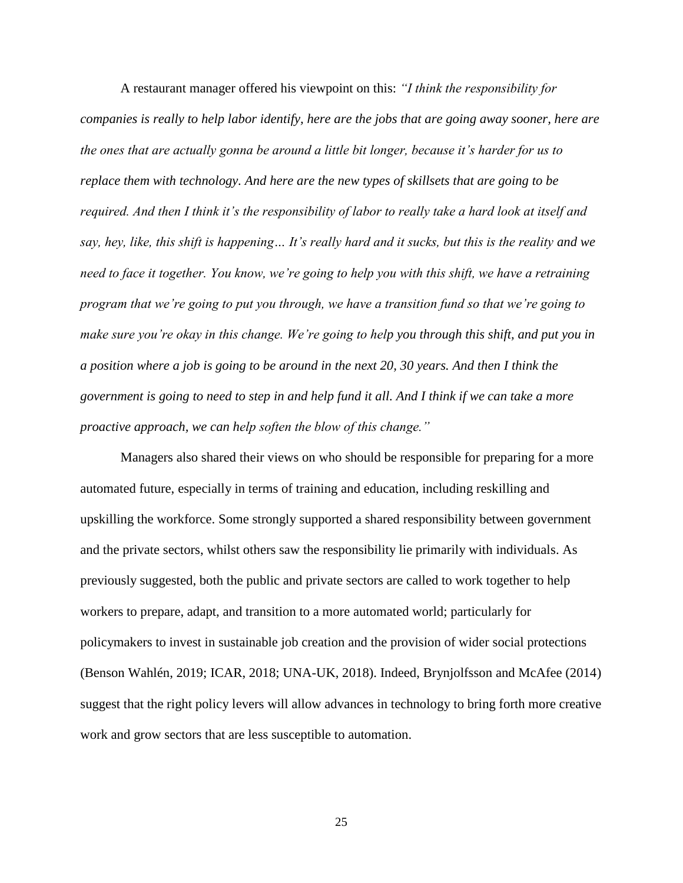A restaurant manager offered his viewpoint on this: *"I think the responsibility for companies is really to help labor identify, here are the jobs that are going away sooner, here are the ones that are actually gonna be around a little bit longer, because it's harder for us to replace them with technology. And here are the new types of skillsets that are going to be required. And then I think it's the responsibility of labor to really take a hard look at itself and say, hey, like, this shift is happening… It's really hard and it sucks, but this is the reality and we need to face it together. You know, we're going to help you with this shift, we have a retraining program that we're going to put you through, we have a transition fund so that we're going to make sure you're okay in this change. We're going to help you through this shift, and put you in a position where a job is going to be around in the next 20, 30 years. And then I think the government is going to need to step in and help fund it all. And I think if we can take a more proactive approach, we can help soften the blow of this change."* 

Managers also shared their views on who should be responsible for preparing for a more automated future, especially in terms of training and education, including reskilling and upskilling the workforce. Some strongly supported a shared responsibility between government and the private sectors, whilst others saw the responsibility lie primarily with individuals. As previously suggested, both the public and private sectors are called to work together to help workers to prepare, adapt, and transition to a more automated world; particularly for policymakers to invest in sustainable job creation and the provision of wider social protections (Benson Wahlén, 2019; ICAR, 2018; UNA-UK, 2018). Indeed, Brynjolfsson and McAfee (2014) suggest that the right policy levers will allow advances in technology to bring forth more creative work and grow sectors that are less susceptible to automation.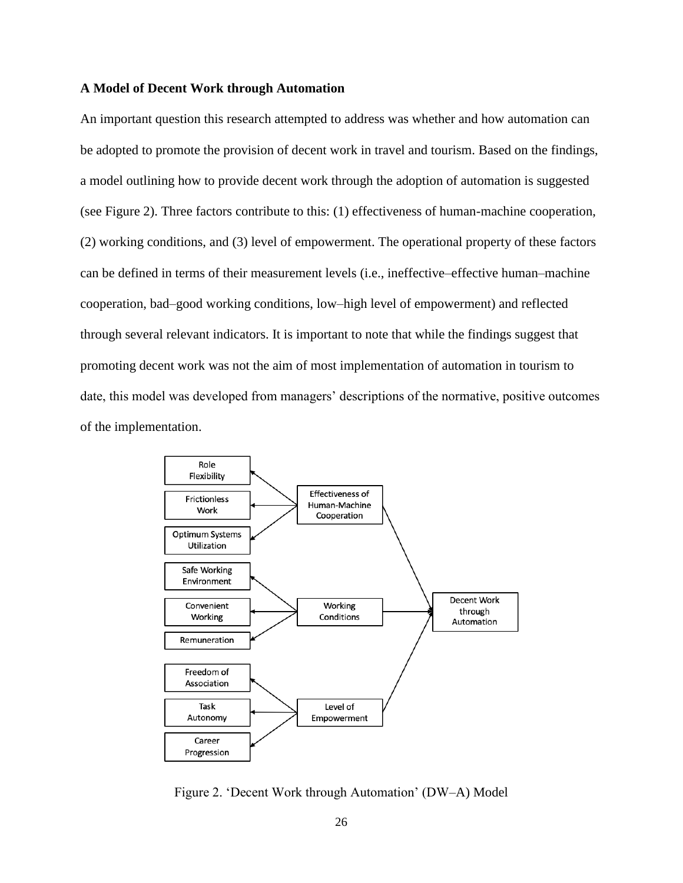# **A Model of Decent Work through Automation**

An important question this research attempted to address was whether and how automation can be adopted to promote the provision of decent work in travel and tourism. Based on the findings, a model outlining how to provide decent work through the adoption of automation is suggested (see Figure 2). Three factors contribute to this: (1) effectiveness of human-machine cooperation, (2) working conditions, and (3) level of empowerment. The operational property of these factors can be defined in terms of their measurement levels (i.e., ineffective–effective human–machine cooperation, bad–good working conditions, low–high level of empowerment) and reflected through several relevant indicators. It is important to note that while the findings suggest that promoting decent work was not the aim of most implementation of automation in tourism to date, this model was developed from managers' descriptions of the normative, positive outcomes of the implementation.



Figure 2. 'Decent Work through Automation' (DW–A) Model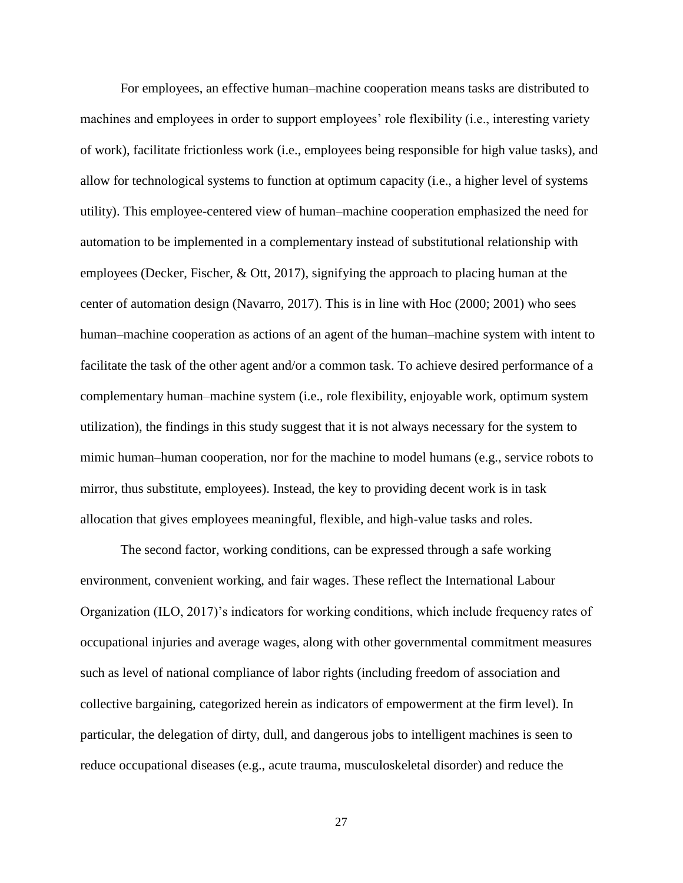For employees, an effective human–machine cooperation means tasks are distributed to machines and employees in order to support employees' role flexibility (i.e., interesting variety of work), facilitate frictionless work (i.e., employees being responsible for high value tasks), and allow for technological systems to function at optimum capacity (i.e., a higher level of systems utility). This employee-centered view of human–machine cooperation emphasized the need for automation to be implemented in a complementary instead of substitutional relationship with employees (Decker, Fischer, & Ott, 2017), signifying the approach to placing human at the center of automation design (Navarro, 2017). This is in line with Hoc (2000; 2001) who sees human–machine cooperation as actions of an agent of the human–machine system with intent to facilitate the task of the other agent and/or a common task. To achieve desired performance of a complementary human–machine system (i.e., role flexibility, enjoyable work, optimum system utilization), the findings in this study suggest that it is not always necessary for the system to mimic human–human cooperation, nor for the machine to model humans (e.g., service robots to mirror, thus substitute, employees). Instead, the key to providing decent work is in task allocation that gives employees meaningful, flexible, and high-value tasks and roles.

The second factor, working conditions, can be expressed through a safe working environment, convenient working, and fair wages. These reflect the International Labour Organization (ILO, 2017)'s indicators for working conditions, which include frequency rates of occupational injuries and average wages, along with other governmental commitment measures such as level of national compliance of labor rights (including freedom of association and collective bargaining, categorized herein as indicators of empowerment at the firm level). In particular, the delegation of dirty, dull, and dangerous jobs to intelligent machines is seen to reduce occupational diseases (e.g., acute trauma, musculoskeletal disorder) and reduce the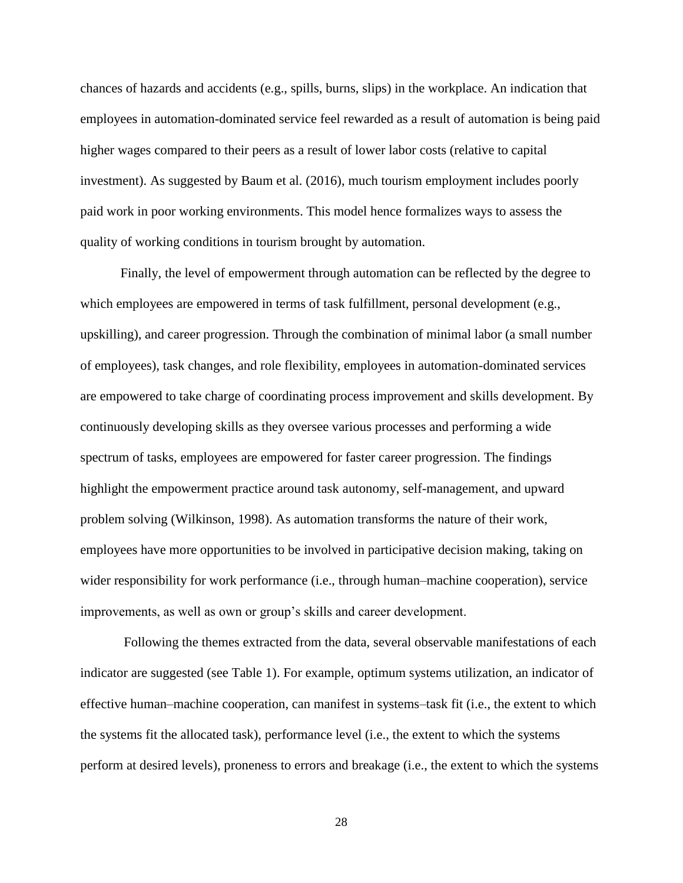chances of hazards and accidents (e.g., spills, burns, slips) in the workplace. An indication that employees in automation-dominated service feel rewarded as a result of automation is being paid higher wages compared to their peers as a result of lower labor costs (relative to capital investment). As suggested by Baum et al. (2016), much tourism employment includes poorly paid work in poor working environments. This model hence formalizes ways to assess the quality of working conditions in tourism brought by automation.

Finally, the level of empowerment through automation can be reflected by the degree to which employees are empowered in terms of task fulfillment, personal development (e.g., upskilling), and career progression. Through the combination of minimal labor (a small number of employees), task changes, and role flexibility, employees in automation-dominated services are empowered to take charge of coordinating process improvement and skills development. By continuously developing skills as they oversee various processes and performing a wide spectrum of tasks, employees are empowered for faster career progression. The findings highlight the empowerment practice around task autonomy, self-management, and upward problem solving (Wilkinson, 1998). As automation transforms the nature of their work, employees have more opportunities to be involved in participative decision making, taking on wider responsibility for work performance (i.e., through human–machine cooperation), service improvements, as well as own or group's skills and career development.

Following the themes extracted from the data, several observable manifestations of each indicator are suggested (see Table 1). For example, optimum systems utilization, an indicator of effective human–machine cooperation, can manifest in systems–task fit (i.e., the extent to which the systems fit the allocated task), performance level (i.e., the extent to which the systems perform at desired levels), proneness to errors and breakage (i.e., the extent to which the systems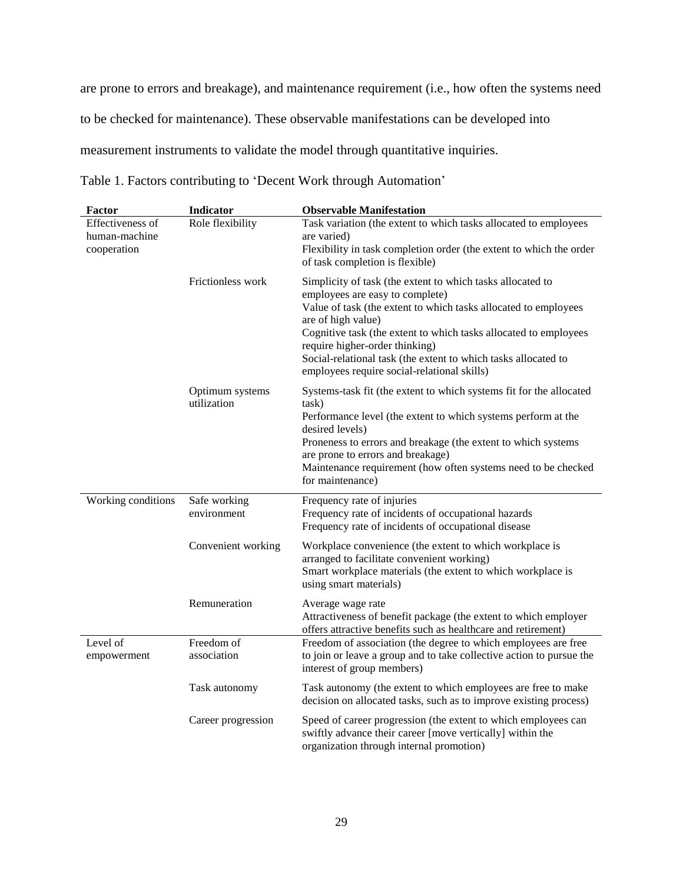are prone to errors and breakage), and maintenance requirement (i.e., how often the systems need to be checked for maintenance). These observable manifestations can be developed into measurement instruments to validate the model through quantitative inquiries.

|  | Table 1. Factors contributing to 'Decent Work through Automation' |  |  |
|--|-------------------------------------------------------------------|--|--|
|  |                                                                   |  |  |

| <b>Factor</b>                                    | <b>Indicator</b>               | <b>Observable Manifestation</b>                                                                                                                                                                                                                                                                                                                                                                               |  |
|--------------------------------------------------|--------------------------------|---------------------------------------------------------------------------------------------------------------------------------------------------------------------------------------------------------------------------------------------------------------------------------------------------------------------------------------------------------------------------------------------------------------|--|
| Effectiveness of<br>human-machine<br>cooperation | Role flexibility               | Task variation (the extent to which tasks allocated to employees<br>are varied)<br>Flexibility in task completion order (the extent to which the order<br>of task completion is flexible)                                                                                                                                                                                                                     |  |
|                                                  | Frictionless work              | Simplicity of task (the extent to which tasks allocated to<br>employees are easy to complete)<br>Value of task (the extent to which tasks allocated to employees<br>are of high value)<br>Cognitive task (the extent to which tasks allocated to employees<br>require higher-order thinking)<br>Social-relational task (the extent to which tasks allocated to<br>employees require social-relational skills) |  |
|                                                  | Optimum systems<br>utilization | Systems-task fit (the extent to which systems fit for the allocated<br>task)<br>Performance level (the extent to which systems perform at the<br>desired levels)<br>Proneness to errors and breakage (the extent to which systems<br>are prone to errors and breakage)<br>Maintenance requirement (how often systems need to be checked<br>for maintenance)                                                   |  |
| Working conditions                               | Safe working<br>environment    | Frequency rate of injuries<br>Frequency rate of incidents of occupational hazards<br>Frequency rate of incidents of occupational disease                                                                                                                                                                                                                                                                      |  |
|                                                  | Convenient working             | Workplace convenience (the extent to which workplace is<br>arranged to facilitate convenient working)<br>Smart workplace materials (the extent to which workplace is<br>using smart materials)                                                                                                                                                                                                                |  |
|                                                  | Remuneration                   | Average wage rate<br>Attractiveness of benefit package (the extent to which employer<br>offers attractive benefits such as healthcare and retirement)                                                                                                                                                                                                                                                         |  |
| Level of<br>empowerment                          | Freedom of<br>association      | Freedom of association (the degree to which employees are free<br>to join or leave a group and to take collective action to pursue the<br>interest of group members)                                                                                                                                                                                                                                          |  |
|                                                  | Task autonomy                  | Task autonomy (the extent to which employees are free to make<br>decision on allocated tasks, such as to improve existing process)                                                                                                                                                                                                                                                                            |  |
|                                                  | Career progression             | Speed of career progression (the extent to which employees can<br>swiftly advance their career [move vertically] within the<br>organization through internal promotion)                                                                                                                                                                                                                                       |  |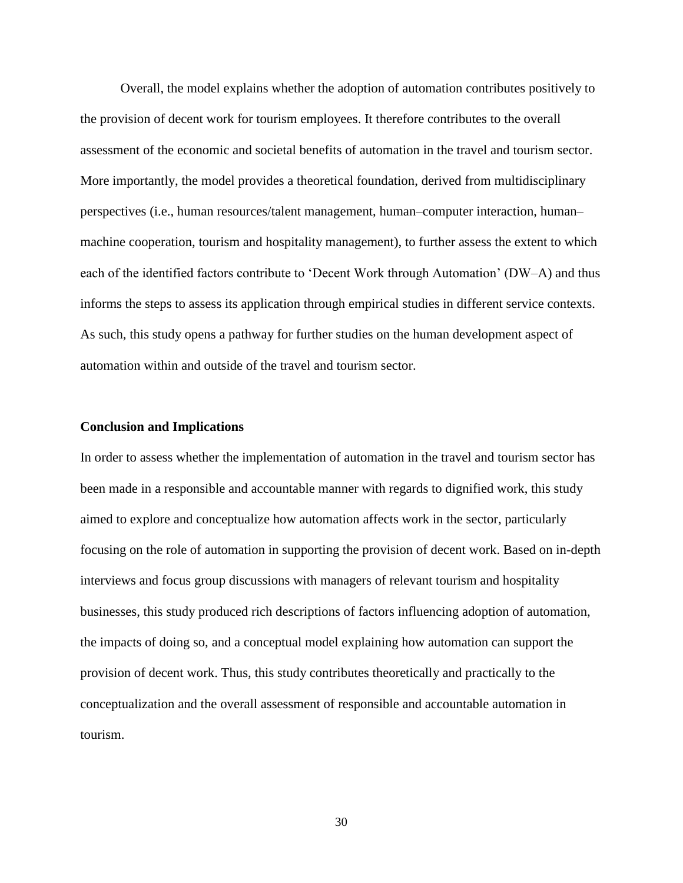Overall, the model explains whether the adoption of automation contributes positively to the provision of decent work for tourism employees. It therefore contributes to the overall assessment of the economic and societal benefits of automation in the travel and tourism sector. More importantly, the model provides a theoretical foundation, derived from multidisciplinary perspectives (i.e., human resources/talent management, human–computer interaction, human– machine cooperation, tourism and hospitality management), to further assess the extent to which each of the identified factors contribute to 'Decent Work through Automation' (DW–A) and thus informs the steps to assess its application through empirical studies in different service contexts. As such, this study opens a pathway for further studies on the human development aspect of automation within and outside of the travel and tourism sector.

### **Conclusion and Implications**

In order to assess whether the implementation of automation in the travel and tourism sector has been made in a responsible and accountable manner with regards to dignified work, this study aimed to explore and conceptualize how automation affects work in the sector, particularly focusing on the role of automation in supporting the provision of decent work. Based on in-depth interviews and focus group discussions with managers of relevant tourism and hospitality businesses, this study produced rich descriptions of factors influencing adoption of automation, the impacts of doing so, and a conceptual model explaining how automation can support the provision of decent work. Thus, this study contributes theoretically and practically to the conceptualization and the overall assessment of responsible and accountable automation in tourism.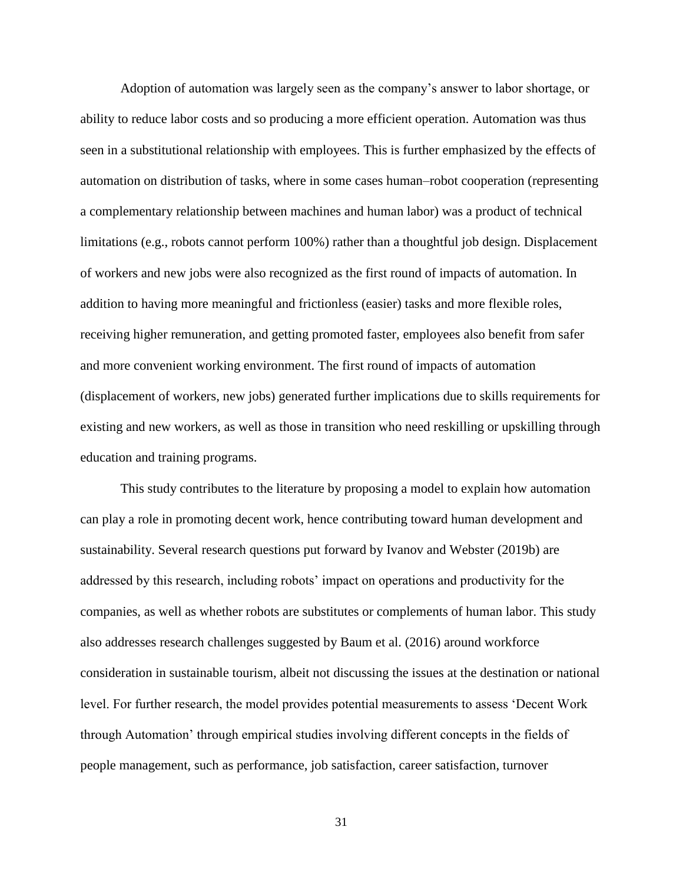Adoption of automation was largely seen as the company's answer to labor shortage, or ability to reduce labor costs and so producing a more efficient operation. Automation was thus seen in a substitutional relationship with employees. This is further emphasized by the effects of automation on distribution of tasks, where in some cases human–robot cooperation (representing a complementary relationship between machines and human labor) was a product of technical limitations (e.g., robots cannot perform 100%) rather than a thoughtful job design. Displacement of workers and new jobs were also recognized as the first round of impacts of automation. In addition to having more meaningful and frictionless (easier) tasks and more flexible roles, receiving higher remuneration, and getting promoted faster, employees also benefit from safer and more convenient working environment. The first round of impacts of automation (displacement of workers, new jobs) generated further implications due to skills requirements for existing and new workers, as well as those in transition who need reskilling or upskilling through education and training programs.

This study contributes to the literature by proposing a model to explain how automation can play a role in promoting decent work, hence contributing toward human development and sustainability. Several research questions put forward by Ivanov and Webster (2019b) are addressed by this research, including robots' impact on operations and productivity for the companies, as well as whether robots are substitutes or complements of human labor. This study also addresses research challenges suggested by Baum et al. (2016) around workforce consideration in sustainable tourism, albeit not discussing the issues at the destination or national level. For further research, the model provides potential measurements to assess 'Decent Work through Automation' through empirical studies involving different concepts in the fields of people management, such as performance, job satisfaction, career satisfaction, turnover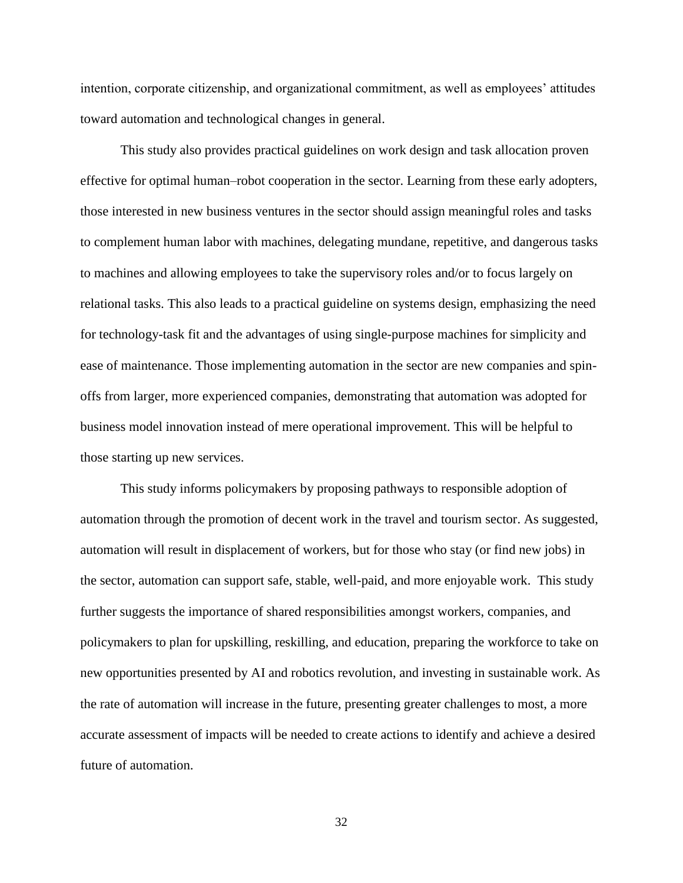intention, corporate citizenship, and organizational commitment, as well as employees' attitudes toward automation and technological changes in general.

This study also provides practical guidelines on work design and task allocation proven effective for optimal human–robot cooperation in the sector. Learning from these early adopters, those interested in new business ventures in the sector should assign meaningful roles and tasks to complement human labor with machines, delegating mundane, repetitive, and dangerous tasks to machines and allowing employees to take the supervisory roles and/or to focus largely on relational tasks. This also leads to a practical guideline on systems design, emphasizing the need for technology-task fit and the advantages of using single-purpose machines for simplicity and ease of maintenance. Those implementing automation in the sector are new companies and spinoffs from larger, more experienced companies, demonstrating that automation was adopted for business model innovation instead of mere operational improvement. This will be helpful to those starting up new services.

This study informs policymakers by proposing pathways to responsible adoption of automation through the promotion of decent work in the travel and tourism sector. As suggested, automation will result in displacement of workers, but for those who stay (or find new jobs) in the sector, automation can support safe, stable, well-paid, and more enjoyable work. This study further suggests the importance of shared responsibilities amongst workers, companies, and policymakers to plan for upskilling, reskilling, and education, preparing the workforce to take on new opportunities presented by AI and robotics revolution, and investing in sustainable work. As the rate of automation will increase in the future, presenting greater challenges to most, a more accurate assessment of impacts will be needed to create actions to identify and achieve a desired future of automation.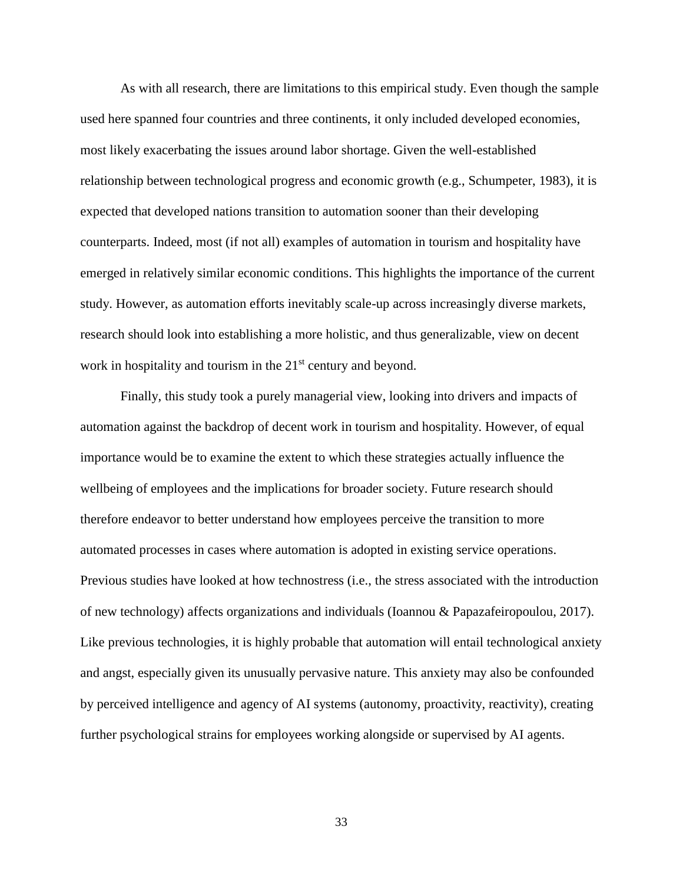As with all research, there are limitations to this empirical study. Even though the sample used here spanned four countries and three continents, it only included developed economies, most likely exacerbating the issues around labor shortage. Given the well-established relationship between technological progress and economic growth (e.g., Schumpeter, 1983), it is expected that developed nations transition to automation sooner than their developing counterparts. Indeed, most (if not all) examples of automation in tourism and hospitality have emerged in relatively similar economic conditions. This highlights the importance of the current study. However, as automation efforts inevitably scale-up across increasingly diverse markets, research should look into establishing a more holistic, and thus generalizable, view on decent work in hospitality and tourism in the 21<sup>st</sup> century and beyond.

Finally, this study took a purely managerial view, looking into drivers and impacts of automation against the backdrop of decent work in tourism and hospitality. However, of equal importance would be to examine the extent to which these strategies actually influence the wellbeing of employees and the implications for broader society. Future research should therefore endeavor to better understand how employees perceive the transition to more automated processes in cases where automation is adopted in existing service operations. Previous studies have looked at how technostress (i.e., the stress associated with the introduction of new technology) affects organizations and individuals (Ioannou & Papazafeiropoulou, 2017). Like previous technologies, it is highly probable that automation will entail technological anxiety and angst, especially given its unusually pervasive nature. This anxiety may also be confounded by perceived intelligence and agency of AI systems (autonomy, proactivity, reactivity), creating further psychological strains for employees working alongside or supervised by AI agents.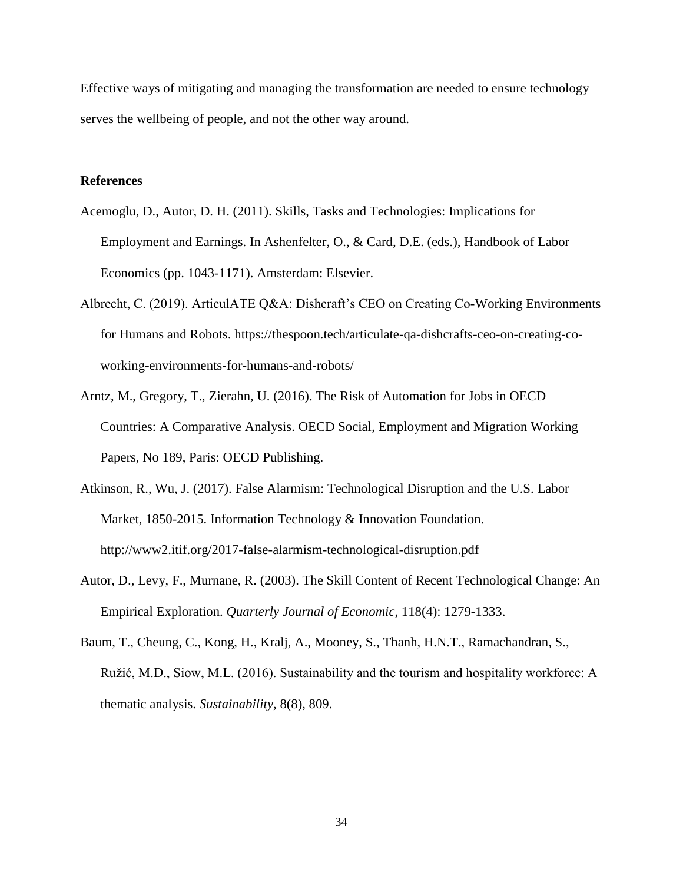Effective ways of mitigating and managing the transformation are needed to ensure technology serves the wellbeing of people, and not the other way around.

# **References**

- Acemoglu, D., Autor, D. H. (2011). Skills, Tasks and Technologies: Implications for Employment and Earnings. In Ashenfelter, O., & Card, D.E. (eds.), Handbook of Labor Economics (pp. 1043-1171). Amsterdam: Elsevier.
- Albrecht, C. (2019). ArticulATE Q&A: Dishcraft's CEO on Creating Co-Working Environments for Humans and Robots. https://thespoon.tech/articulate-qa-dishcrafts-ceo-on-creating-coworking-environments-for-humans-and-robots/
- Arntz, M., Gregory, T., Zierahn, U. (2016). The Risk of Automation for Jobs in OECD Countries: A Comparative Analysis. OECD Social, Employment and Migration Working Papers, No 189, Paris: OECD Publishing.
- Atkinson, R., Wu, J. (2017). False Alarmism: Technological Disruption and the U.S. Labor Market, 1850-2015. Information Technology & Innovation Foundation[.](http://www2.itif.org/2017-false-alarmism-technological-disruption.pdf) http://www2.itif.org/2017-false-alarmism-technological-disruption.pdf
- Autor, D., Levy, F., Murnane, R. (2003). The Skill Content of Recent Technological Change: An Empirical Exploration. *Quarterly Journal of Economic*, 118(4): 1279-1333.
- Baum, T., Cheung, C., Kong, H., Kralj, A., Mooney, S., Thanh, H.N.T., Ramachandran, S., Ružić, M.D., Siow, M.L. (2016). Sustainability and the tourism and hospitality workforce: A thematic analysis. *Sustainability*, 8(8), 809.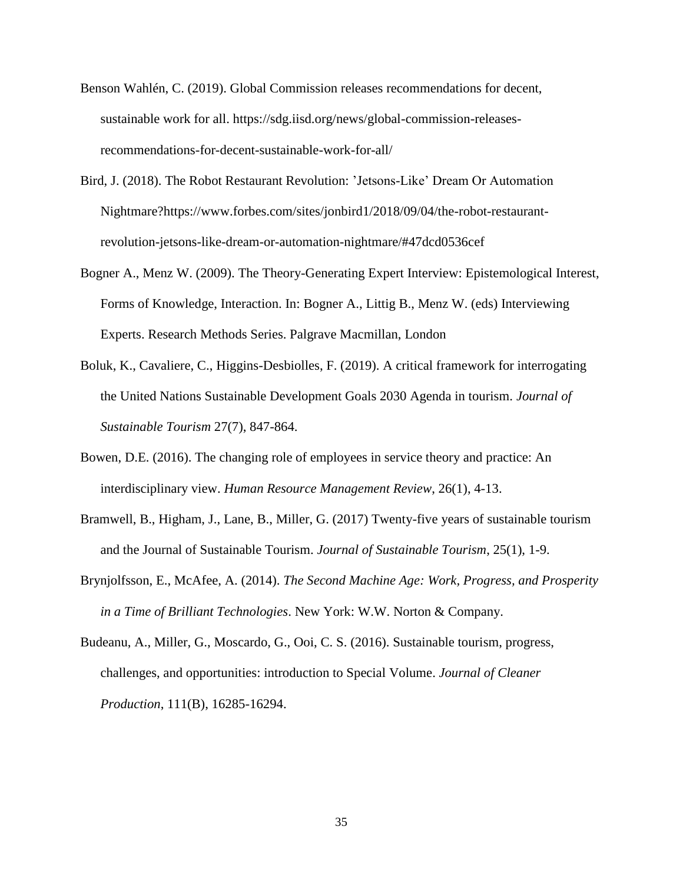- Benson Wahlén, C. (2019). Global Commission releases recommendations for decent, sustainable work for all. https://sdg.iisd.org/news/global-commission-releasesrecommendations-for-decent-sustainable-work-for-all/
- Bird, J. (2018). The Robot Restaurant Revolution: 'Jetsons-Like' Dream Or Automation Nightmare?https://www.forbes.com/sites/jonbird1/2018/09/04/the-robot-restaurantrevolution-jetsons-like-dream-or-automation-nightmare/#47dcd0536cef
- Bogner A., Menz W. (2009). The Theory-Generating Expert Interview: Epistemological Interest, Forms of Knowledge, Interaction. In: Bogner A., Littig B., Menz W. (eds) Interviewing Experts. Research Methods Series. Palgrave Macmillan, London
- Boluk, K., Cavaliere, C., Higgins-Desbiolles, F. (2019). A critical framework for interrogating the United Nations Sustainable Development Goals 2030 Agenda in tourism. *Journal of Sustainable Tourism* 27(7), 847-864.
- Bowen, D.E. (2016). The changing role of employees in service theory and practice: An interdisciplinary view. *Human Resource Management Review*, 26(1), 4-13.
- Bramwell, B., Higham, J., Lane, B., Miller, G. (2017) Twenty-five years of sustainable tourism and the Journal of Sustainable Tourism. *Journal of Sustainable Tourism*, 25(1), 1-9.
- Brynjolfsson, E., McAfee, A. (2014). *The Second Machine Age: Work, Progress, and Prosperity in a Time of Brilliant Technologies*. New York: W.W. Norton & Company.
- Budeanu, A., Miller, G., Moscardo, G., Ooi, C. S. (2016). Sustainable tourism, progress, challenges, and opportunities: introduction to Special Volume. *Journal of Cleaner Production*, 111(B), 16285-16294.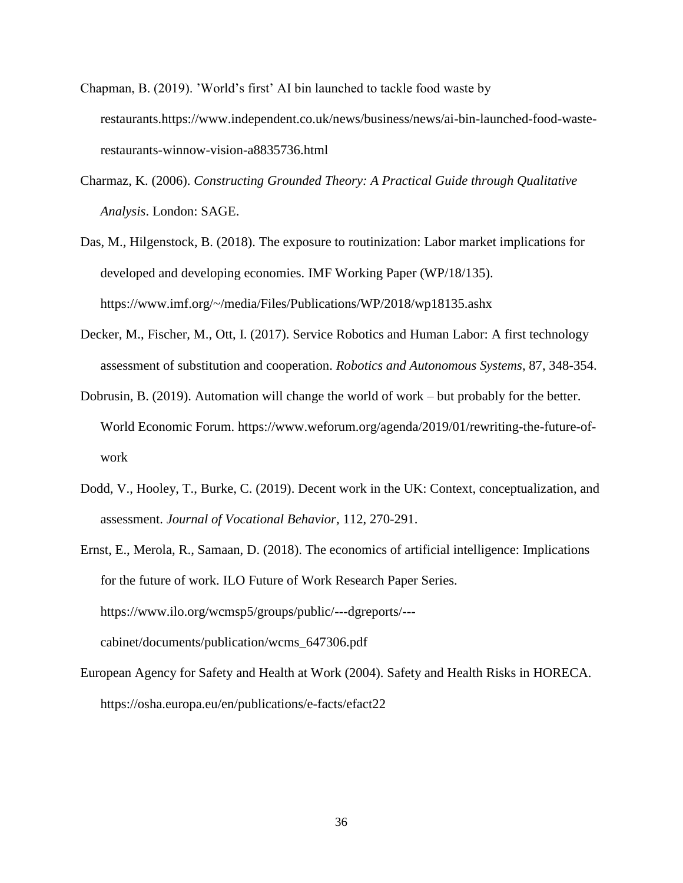- Chapman, B. (2019). 'World's first' AI bin launched to tackle food waste by restaurants.https://www.independent.co.uk/news/business/news/ai-bin-launched-food-wasterestaurants-winnow-vision-a8835736.html
- Charmaz, K. (2006). *Constructing Grounded Theory: A Practical Guide through Qualitative Analysis*. London: SAGE.
- Das, M., Hilgenstock, B. (2018). The exposure to routinization: Labor market implications for developed and developing economies. IMF Working Paper (WP/18/135). https://www.imf.org/~/media/Files/Publications/WP/2018/wp18135.ashx
- Decker, M., Fischer, M., Ott, I. (2017). Service Robotics and Human Labor: A first technology assessment of substitution and cooperation. *Robotics and Autonomous Systems*, 87, 348-354.
- Dobrusin, B. (2019). Automation will change the world of work but probably for the better. World Economic Forum. https://www.weforum.org/agenda/2019/01/rewriting-the-future-ofwork
- Dodd, V., Hooley, T., Burke, C. (2019). Decent work in the UK: Context, conceptualization, and assessment. *Journal of Vocational Behavior,* 112, 270-291.
- Ernst, E., Merola, R., Samaan, D. (2018). The economics of artificial intelligence: Implications for the future of work. ILO Future of Work Research Paper Series. https://www.ilo.org/wcmsp5/groups/public/---dgreports/-- cabinet/documents/publication/wcms\_647306.pdf
- European Agency for Safety and Health at Work (2004). Safety and Health Risks in HORECA. https://osha.europa.eu/en/publications/e-facts/efact22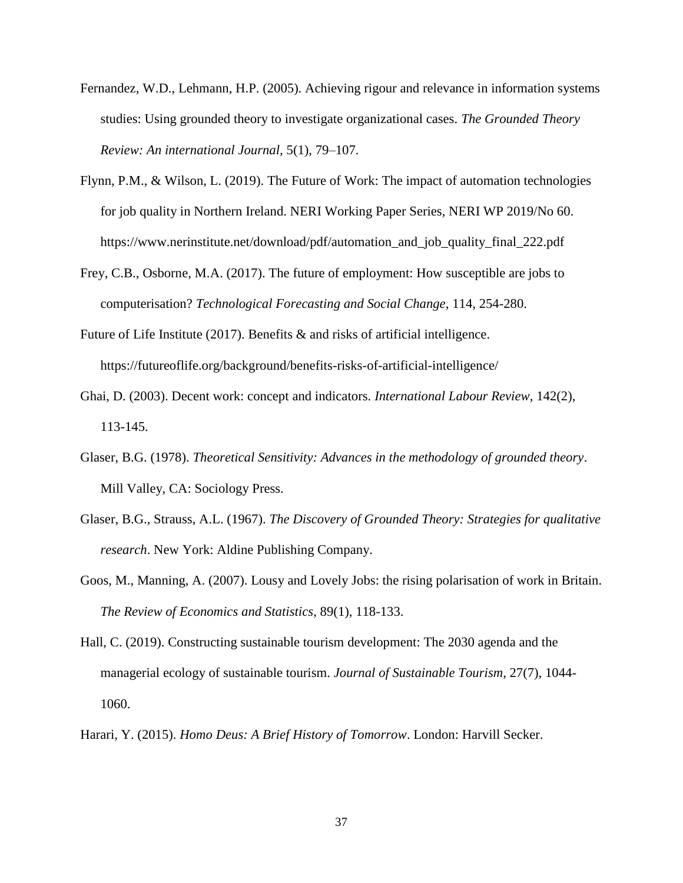- Fernandez, W.D., Lehmann, H.P. (2005). Achieving rigour and relevance in information systems studies: Using grounded theory to investigate organizational cases. *The Grounded Theory Review: An international Journal,* 5(1), 79–107.
- Flynn, P.M., & Wilson, L. (2019). The Future of Work: The impact of automation technologies for job quality in Northern Ireland. NERI Working Paper Series, NERI WP 2019/No 60. https://www.nerinstitute.net/download/pdf/automation\_and\_job\_quality\_final\_222.pdf
- Frey, C.B., Osborne, M.A. (2017). The future of employment: How susceptible are jobs to computerisation? *Technological Forecasting and Social Change*, 114, 254-280.
- Future of Life Institute (2017)[.](https://futureoflife.org/background/benefits-risks-of-artificial-intelligence/?cn-reloaded=1) Benefits & and risks of artificial intelligence. https://futureoflife.org/background/benefits-risks-of-artificial-intelligence/
- Ghai, D. (2003). Decent work: concept and indicators. *International Labour Review,* 142(2), 113-145.
- Glaser, B.G. (1978). *Theoretical Sensitivity: Advances in the methodology of grounded theory*. Mill Valley, CA: Sociology Press.
- Glaser, B.G., Strauss, A.L. (1967). *The Discovery of Grounded Theory: Strategies for qualitative research*. New York: Aldine Publishing Company.
- Goos, M., Manning, A. (2007). Lousy and Lovely Jobs: the rising polarisation of work in Britain. *The Review of Economics and Statistics*, 89(1), 118-133.
- Hall, C. (2019). Constructing sustainable tourism development: The 2030 agenda and the managerial ecology of sustainable tourism. *Journal of Sustainable Tourism*, 27(7), 1044- 1060.
- Harari, Y. (2015). *Homo Deus: A Brief History of Tomorrow*. London: Harvill Secker.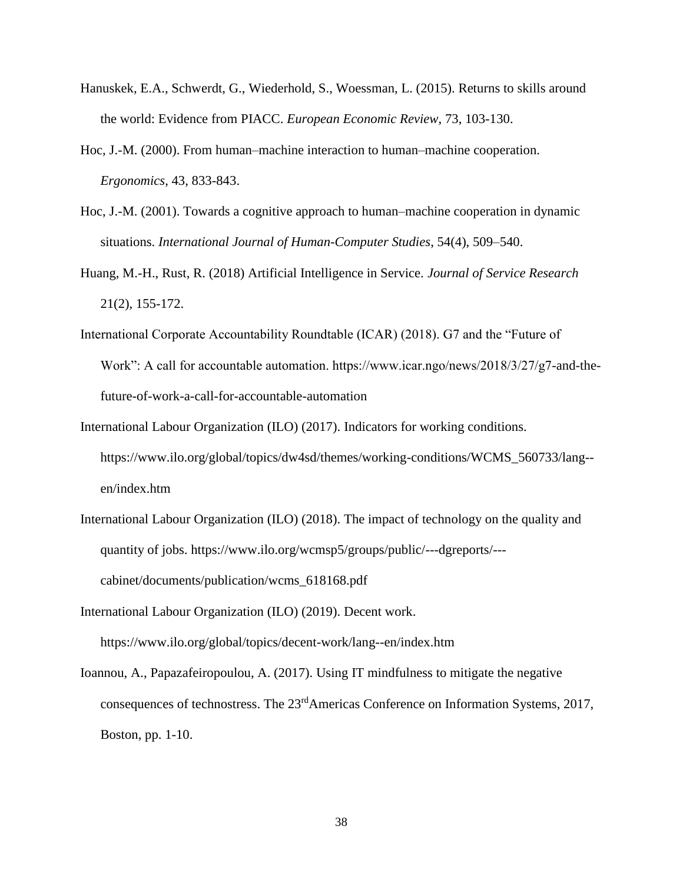- Hanuskek, E.A., Schwerdt, G., Wiederhold, S., Woessman, L. (2015). Returns to skills around the world: Evidence from PIACC. *European Economic Review*, 73, 103-130.
- Hoc, J.-M. (2000). From human–machine interaction to human–machine cooperation. *Ergonomics*, 43, 833-843.
- Hoc, J.-M. (2001). Towards a cognitive approach to human–machine cooperation in dynamic situations. *International Journal of Human-Computer Studies*, 54(4), 509–540.
- Huang, M.-H., Rust, R. (2018) Artificial Intelligence in Service. *Journal of Service Research* 21(2), 155-172.
- International Corporate Accountability Roundtable (ICAR) (2018). G7 and the "Future of Work": A call for accountable automation. https://www.icar.ngo/news/2018/3/27/g7-and-thefuture-of-work-a-call-for-accountable-automation
- International Labour Organization (ILO) (2017). Indicators for working conditions. https://www.ilo.org/global/topics/dw4sd/themes/working-conditions/WCMS\_560733/lang- en/index.htm
- International Labour Organization (ILO) (2018). The impact of technology on the quality and quantity of jobs. https://www.ilo.org/wcmsp5/groups/public/---dgreports/-- cabinet/documents/publication/wcms\_618168.pdf
- International Labour Organization (ILO) (2019). Decent work. https://www.ilo.org/global/topics/decent-work/lang--en/index.htm
- Ioannou, A., Papazafeiropoulou, A. (2017). Using IT mindfulness to mitigate the negative consequences of technostress. The 23<sup>rd</sup>Americas Conference on Information Systems, 2017, Boston, pp. 1-10.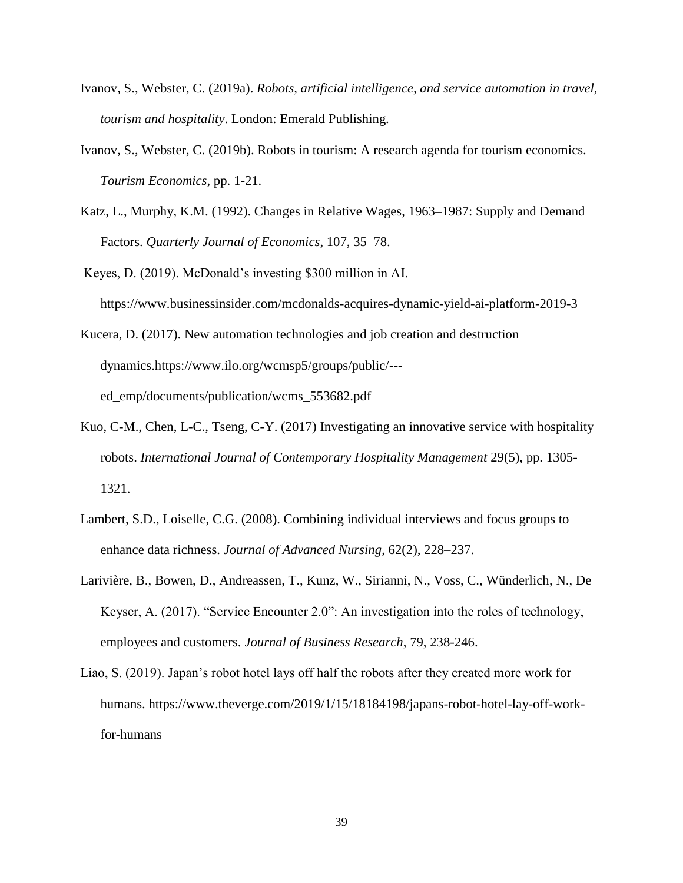- Ivanov, S., Webster, C. (2019a). *Robots, artificial intelligence, and service automation in travel, tourism and hospitality*. London: Emerald Publishing.
- Ivanov, S., Webster, C. (2019b). Robots in tourism: A research agenda for tourism economics. *Tourism Economics*, pp. 1-21.
- Katz, L., Murphy, K.M. (1992). Changes in Relative Wages, 1963–1987: Supply and Demand Factors. *Quarterly Journal of Economics*, 107, 35–78.

Keyes, D. (2019). McDonald's investing \$300 million in AI[.](https://www.businessinsider.com/mcdonalds-acquires-dynamic-yield-ai-platform-2019-3?r=US&IR=T) https://www.businessinsider.com/mcdonalds-acquires-dynamic-yield-ai-platform-2019-3

Kucera, D. (2017). New automation technologies and job creation and destruction dynamics.https://www.ilo.org/wcmsp5/groups/public/-- ed\_emp/documents/publication/wcms\_553682.pdf

- Kuo, C-M., Chen, L-C., Tseng, C-Y. (2017) Investigating an innovative service with hospitality robots. *International Journal of Contemporary Hospitality Management* 29(5), pp. 1305- 1321.
- Lambert, S.D., Loiselle, C.G. (2008). Combining individual interviews and focus groups to enhance data richness. *Journal of Advanced Nursing*, 62(2), 228–237.
- Larivière, B., Bowen, D., Andreassen, T., Kunz, W., Sirianni, N., Voss, C., Wünderlich, N., De Keyser, A. (2017). "Service Encounter 2.0": An investigation into the roles of technology, employees and customers. *Journal of Business Research*, 79, 238-246.
- Liao, S. (2019). Japan's robot hotel lays off half the robots after they created more work for humans. https://www.theverge.com/2019/1/15/18184198/japans-robot-hotel-lay-off-workfor-humans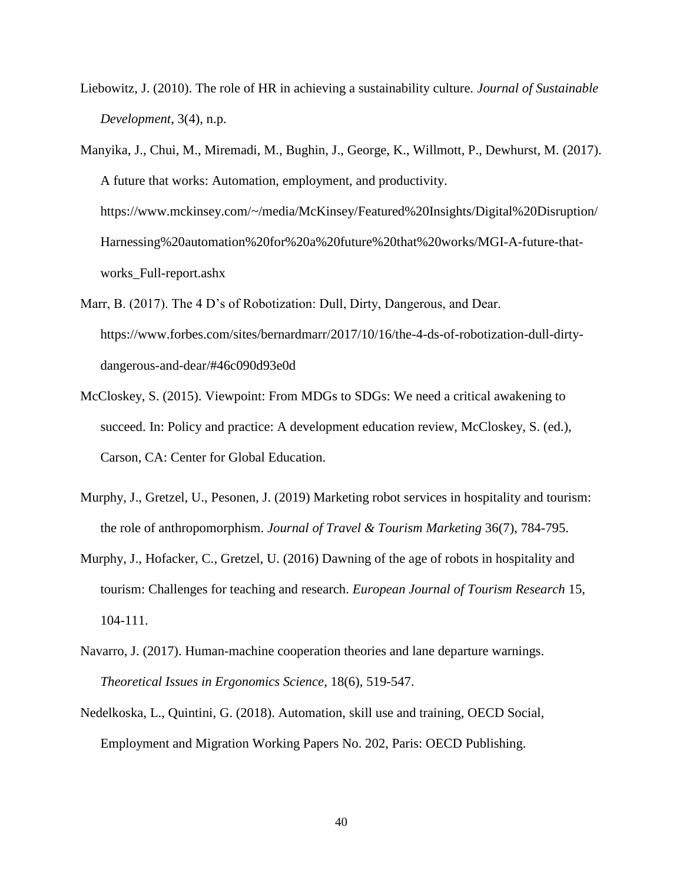- Liebowitz, J. (2010). The role of HR in achieving a sustainability culture. *Journal of Sustainable Development*, 3(4), n.p.
- Manyika, J., Chui, M., Miremadi, M., Bughin, J., George, K., Willmott, P., Dewhurst, M. (2017). A future that works: Automation, employment, and productivity. https://www.mckinsey.com/~/media/McKinsey/Featured%20Insights/Digital%20Disruption/ Harnessing%20automation%20for%20a%20future%20that%20works/MGI-A-future-thatworks\_Full-report.ashx
- Marr, B. (2017). The 4 D's of Robotization: Dull, Dirty, Dangerous, and Dear. https://www.forbes.com/sites/bernardmarr/2017/10/16/the-4-ds-of-robotization-dull-dirtydangerous-and-dear/#46c090d93e0d
- McCloskey, S. (2015). Viewpoint: From MDGs to SDGs: We need a critical awakening to succeed. In: Policy and practice: A development education review, McCloskey, S. (ed.), Carson, CA: Center for Global Education.
- Murphy, J., Gretzel, U., Pesonen, J. (2019) Marketing robot services in hospitality and tourism: the role of anthropomorphism. *Journal of Travel & Tourism Marketing* 36(7), 784-795.
- Murphy, J., Hofacker, C., Gretzel, U. (2016) Dawning of the age of robots in hospitality and tourism: Challenges for teaching and research. *European Journal of Tourism Research* 15, 104-111.
- Navarro, J. (2017). Human-machine cooperation theories and lane departure warnings. *Theoretical Issues in Ergonomics Science*, 18(6), 519-547.
- Nedelkoska, L., Quintini, G. (2018). Automation, skill use and training, OECD Social, Employment and Migration Working Papers No. 202, Paris: OECD Publishing.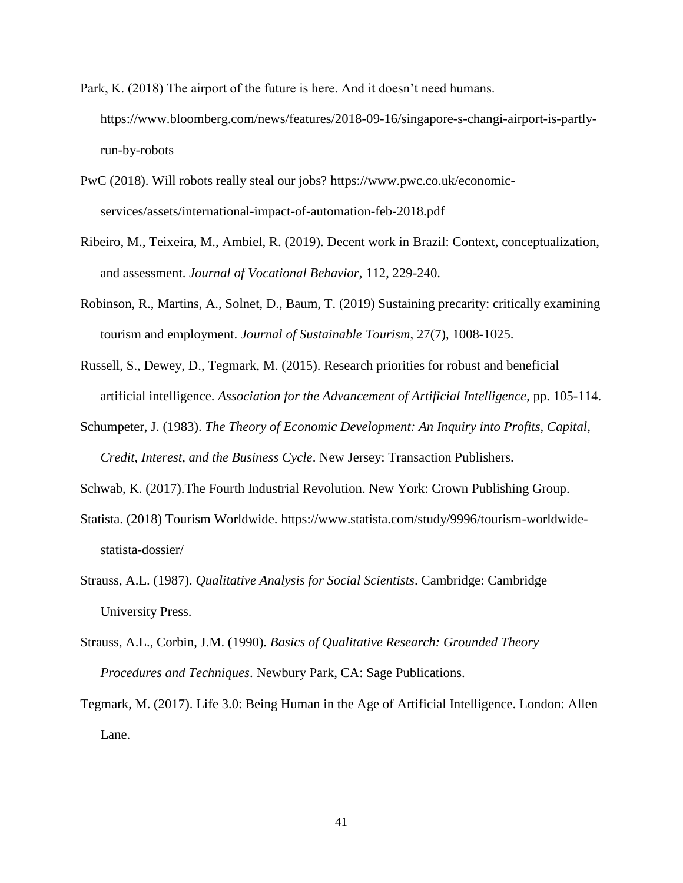- Park, K. (2018) The airport of the future is here. And it doesn't need humans. https://www.bloomberg.com/news/features/2018-09-16/singapore-s-changi-airport-is-partlyrun-by-robots
- PwC (2018). Will robots really steal our jobs? [https://www.pwc.co.uk/economic](https://www.pwc.co.uk/economic-services/assets/international-impact-of-automation-feb-2018.pdf)[services/assets/international-impact-of-automation-feb-2018.pdf](https://www.pwc.co.uk/economic-services/assets/international-impact-of-automation-feb-2018.pdf)
- Ribeiro, M., Teixeira, M., Ambiel, R. (2019). Decent work in Brazil: Context, conceptualization, and assessment. *Journal of Vocational Behavior*, 112, 229-240.
- Robinson, R., Martins, A., Solnet, D., Baum, T. (2019) Sustaining precarity: critically examining tourism and employment. *Journal of Sustainable Tourism*, 27(7), 1008-1025.
- Russell, S., Dewey, D., Tegmark, M. (2015). Research priorities for robust and beneficial artificial intelligence. *Association for the Advancement of Artificial Intelligence*, pp. 105-114.
- Schumpeter, J. (1983). *The Theory of Economic Development: An Inquiry into Profits, Capital, Credit, Interest, and the Business Cycle*. New Jersey: Transaction Publishers.
- Schwab, K. (2017).The Fourth Industrial Revolution. New York: Crown Publishing Group.
- Statista. (2018) Tourism Worldwide. https://www.statista.com/study/9996/tourism-worldwidestatista-dossier/
- Strauss, A.L. (1987). *Qualitative Analysis for Social Scientists*. Cambridge: Cambridge University Press.
- Strauss, A.L., Corbin, J.M. (1990). *Basics of Qualitative Research: Grounded Theory Procedures and Techniques*. Newbury Park, CA: Sage Publications.
- Tegmark, M. (2017). Life 3.0: Being Human in the Age of Artificial Intelligence. London: Allen Lane.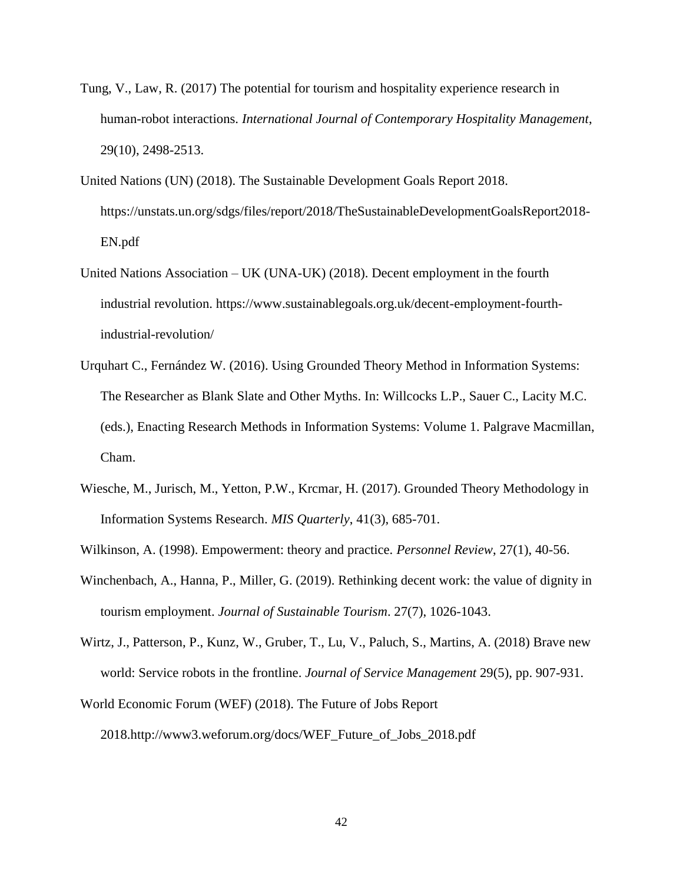- Tung, V., Law, R. (2017) The potential for tourism and hospitality experience research in human-robot interactions. *International Journal of Contemporary Hospitality Management*, 29(10), 2498-2513.
- United Nations (UN) (2018). The Sustainable Development Goals Report 2018. https://unstats.un.org/sdgs/files/report/2018/TheSustainableDevelopmentGoalsReport2018- EN.pdf
- United Nations Association UK (UNA-UK) (2018). Decent employment in the fourth industrial revolution. https://www.sustainablegoals.org.uk/decent-employment-fourthindustrial-revolution/
- Urquhart C., Fernández W. (2016). Using Grounded Theory Method in Information Systems: The Researcher as Blank Slate and Other Myths. In: Willcocks L.P., Sauer C., Lacity M.C. (eds.), Enacting Research Methods in Information Systems: Volume 1. Palgrave Macmillan, Cham.
- Wiesche, M., Jurisch, M., Yetton, P.W., Krcmar, H. (2017). Grounded Theory Methodology in Information Systems Research. *MIS Quarterly*, 41(3), 685-701.
- Wilkinson, A. (1998). Empowerment: theory and practice. *Personnel Review*, 27(1), 40-56.
- Winchenbach, A., Hanna, P., Miller, G. (2019). Rethinking decent work: the value of dignity in tourism employment. *Journal of Sustainable Tourism*. 27(7), 1026-1043.
- Wirtz, J., Patterson, P., Kunz, W., Gruber, T., Lu, V., Paluch, S., Martins, A. (2018) Brave new world: Service robots in the frontline. *Journal of Service Management* 29(5), pp. 907-931.
- World Economic Forum (WEF) (2018). The Future of Jobs Report 2018.http://www3.weforum.org/docs/WEF\_Future\_of\_Jobs\_2018.pdf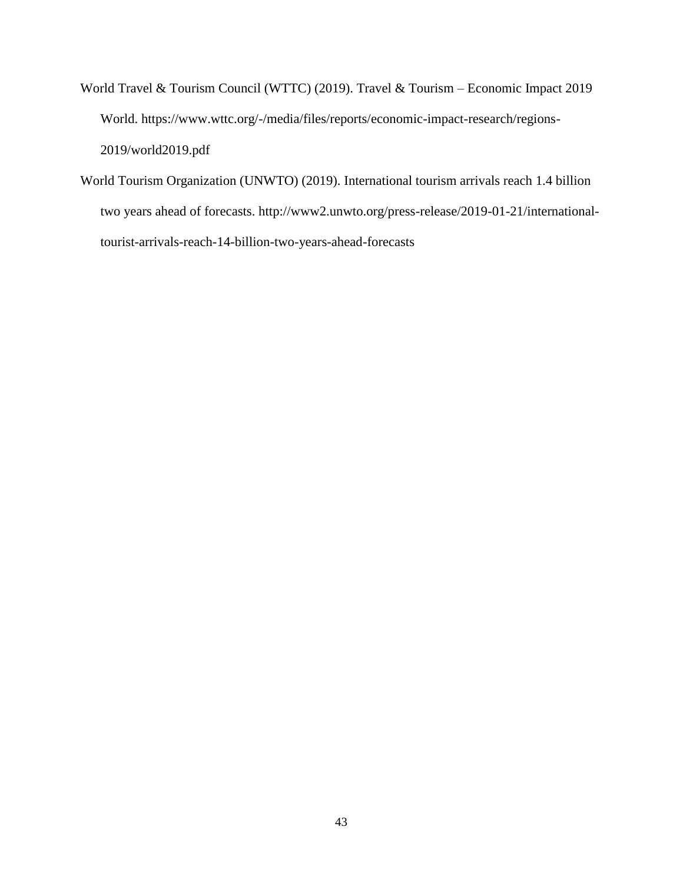- World Travel & Tourism Council (WTTC) (2019). Travel & Tourism Economic Impact 2019 World[.](https://www.wttc.org/-/media/files/reports/economic-impact-research/regions-2019/world2019.pdf) https://www.wttc.org/-/media/files/reports/economic-impact-research/regions-2019/world2019.pdf
- World Tourism Organization (UNWTO) (2019). International tourism arrivals reach 1.4 billion two years ahead of forecasts. http://www2.unwto.org/press-release/2019-01-21/internationaltourist-arrivals-reach-14-billion-two-years-ahead-forecasts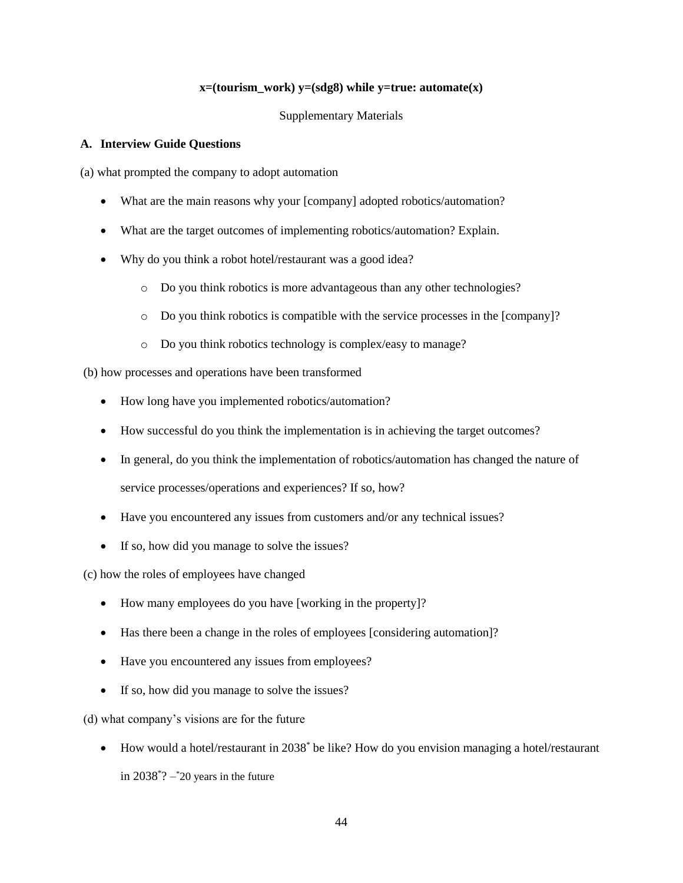# $x=(\text{tourism work})$   $y=(\text{sdg8})$  while  $y=\text{true: } \text{automatic}(x)$

# Supplementary Materials

# **A. Interview Guide Questions**

(a) what prompted the company to adopt automation

- What are the main reasons why your [company] adopted robotics/automation?
- What are the target outcomes of implementing robotics/automation? Explain.
- Why do you think a robot hotel/restaurant was a good idea?
	- o Do you think robotics is more advantageous than any other technologies?
	- o Do you think robotics is compatible with the service processes in the [company]?
	- o Do you think robotics technology is complex/easy to manage?

(b) how processes and operations have been transformed

- How long have you implemented robotics/automation?
- How successful do you think the implementation is in achieving the target outcomes?
- In general, do you think the implementation of robotics/automation has changed the nature of service processes/operations and experiences? If so, how?
- Have you encountered any issues from customers and/or any technical issues?
- If so, how did you manage to solve the issues?

(c) how the roles of employees have changed

- How many employees do you have [working in the property]?
- Has there been a change in the roles of employees [considering automation]?
- Have you encountered any issues from employees?
- If so, how did you manage to solve the issues?

(d) what company's visions are for the future

• How would a hotel/restaurant in 2038<sup>\*</sup> be like? How do you envision managing a hotel/restaurant in  $2038^{\degree}$ ?  $20$  years in the future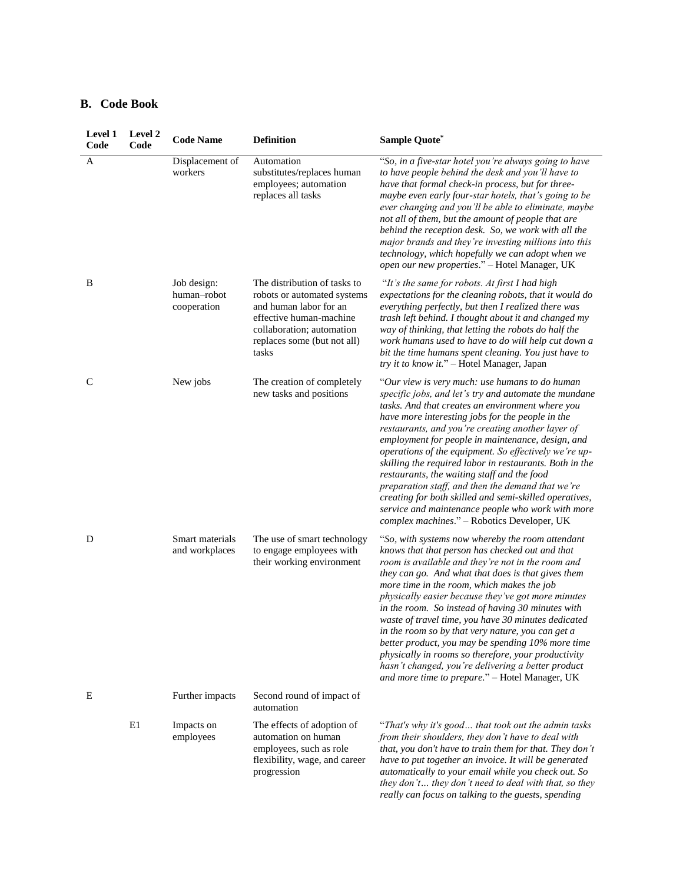# **B. Code Book**

| Level 1<br>Code | Level 2<br>Code | <b>Code Name</b>                          | <b>Definition</b>                                                                                                                                                                     | <b>Sample Quote*</b>                                                                                                                                                                                                                                                                                                                                                                                                                                                                                                                                                                                                                                                                                            |
|-----------------|-----------------|-------------------------------------------|---------------------------------------------------------------------------------------------------------------------------------------------------------------------------------------|-----------------------------------------------------------------------------------------------------------------------------------------------------------------------------------------------------------------------------------------------------------------------------------------------------------------------------------------------------------------------------------------------------------------------------------------------------------------------------------------------------------------------------------------------------------------------------------------------------------------------------------------------------------------------------------------------------------------|
| A               |                 | Displacement of<br>workers                | Automation<br>substitutes/replaces human<br>employees; automation<br>replaces all tasks                                                                                               | "So, in a five-star hotel you're always going to have<br>to have people behind the desk and you'll have to<br>have that formal check-in process, but for three-<br>maybe even early four-star hotels, that's going to be<br>ever changing and you'll be able to eliminate, maybe<br>not all of them, but the amount of people that are<br>behind the reception desk. So, we work with all the<br>major brands and they're investing millions into this<br>technology, which hopefully we can adopt when we<br>open our new properties." - Hotel Manager, UK                                                                                                                                                     |
| B               |                 | Job design:<br>human-robot<br>cooperation | The distribution of tasks to<br>robots or automated systems<br>and human labor for an<br>effective human-machine<br>collaboration; automation<br>replaces some (but not all)<br>tasks | "It's the same for robots. At first I had high<br>expectations for the cleaning robots, that it would do<br>everything perfectly, but then I realized there was<br>trash left behind. I thought about it and changed my<br>way of thinking, that letting the robots do half the<br>work humans used to have to do will help cut down a<br>bit the time humans spent cleaning. You just have to<br>try it to know it." - Hotel Manager, Japan                                                                                                                                                                                                                                                                    |
| C               |                 | New jobs                                  | The creation of completely<br>new tasks and positions                                                                                                                                 | "Our view is very much: use humans to do human<br>specific jobs, and let's try and automate the mundane<br>tasks. And that creates an environment where you<br>have more interesting jobs for the people in the<br>restaurants, and you're creating another layer of<br>employment for people in maintenance, design, and<br>operations of the equipment. So effectively we're up-<br>skilling the required labor in restaurants. Both in the<br>restaurants, the waiting staff and the food<br>preparation staff, and then the demand that we're<br>creating for both skilled and semi-skilled operatives,<br>service and maintenance people who work with more<br>complex machines." - Robotics Developer, UK |
| D               |                 | Smart materials<br>and workplaces         | The use of smart technology<br>to engage employees with<br>their working environment                                                                                                  | "So, with systems now whereby the room attendant<br>knows that that person has checked out and that<br>room is available and they're not in the room and<br>they can go. And what that does is that gives them<br>more time in the room, which makes the job<br>physically easier because they've got more minutes<br>in the room. So instead of having 30 minutes with<br>waste of travel time, you have 30 minutes dedicated<br>in the room so by that very nature, you can get a<br>better product, you may be spending 10% more time<br>physically in rooms so therefore, your productivity<br>hasn't changed, you're delivering a better product<br>and more time to prepare." - Hotel Manager, UK         |
| E               |                 | Further impacts                           | Second round of impact of<br>automation                                                                                                                                               |                                                                                                                                                                                                                                                                                                                                                                                                                                                                                                                                                                                                                                                                                                                 |
|                 | E1              | Impacts on<br>employees                   | The effects of adoption of<br>automation on human<br>employees, such as role<br>flexibility, wage, and career<br>progression                                                          | "That's why it's good that took out the admin tasks<br>from their shoulders, they don't have to deal with<br>that, you don't have to train them for that. They don't<br>have to put together an invoice. It will be generated<br>automatically to your email while you check out. So<br>they don't they don't need to deal with that, so they<br>really can focus on talking to the guests, spending                                                                                                                                                                                                                                                                                                            |